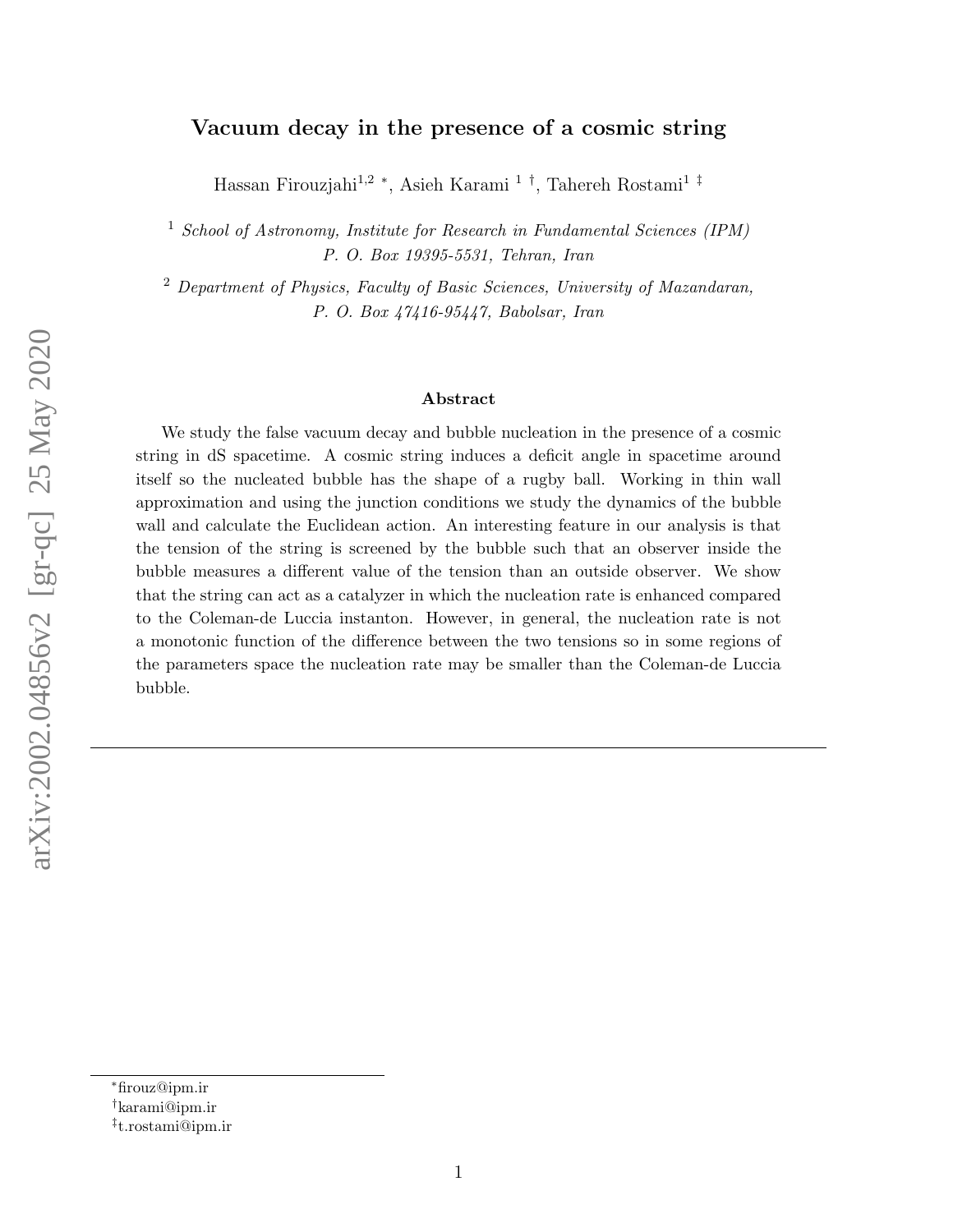#### Vacuum decay in the presence of a cosmic string

Hassan Firouzjahi<sup>1,2</sup> <sup>\*</sup>, Asieh Karami <sup>1†</sup>, Tahereh Rostami<sup>1‡</sup>

<sup>1</sup> School of Astronomy, Institute for Research in Fundamental Sciences (IPM) P. O. Box 19395-5531, Tehran, Iran

<sup>2</sup> Department of Physics, Faculty of Basic Sciences, University of Mazandaran, P. O. Box 47416-95447, Babolsar, Iran

#### Abstract

We study the false vacuum decay and bubble nucleation in the presence of a cosmic string in dS spacetime. A cosmic string induces a deficit angle in spacetime around itself so the nucleated bubble has the shape of a rugby ball. Working in thin wall approximation and using the junction conditions we study the dynamics of the bubble wall and calculate the Euclidean action. An interesting feature in our analysis is that the tension of the string is screened by the bubble such that an observer inside the bubble measures a different value of the tension than an outside observer. We show that the string can act as a catalyzer in which the nucleation rate is enhanced compared to the Coleman-de Luccia instanton. However, in general, the nucleation rate is not a monotonic function of the difference between the two tensions so in some regions of the parameters space the nucleation rate may be smaller than the Coleman-de Luccia bubble.

<sup>∗</sup>firouz@ipm.ir

<sup>†</sup>karami@ipm.ir

<sup>‡</sup> t.rostami@ipm.ir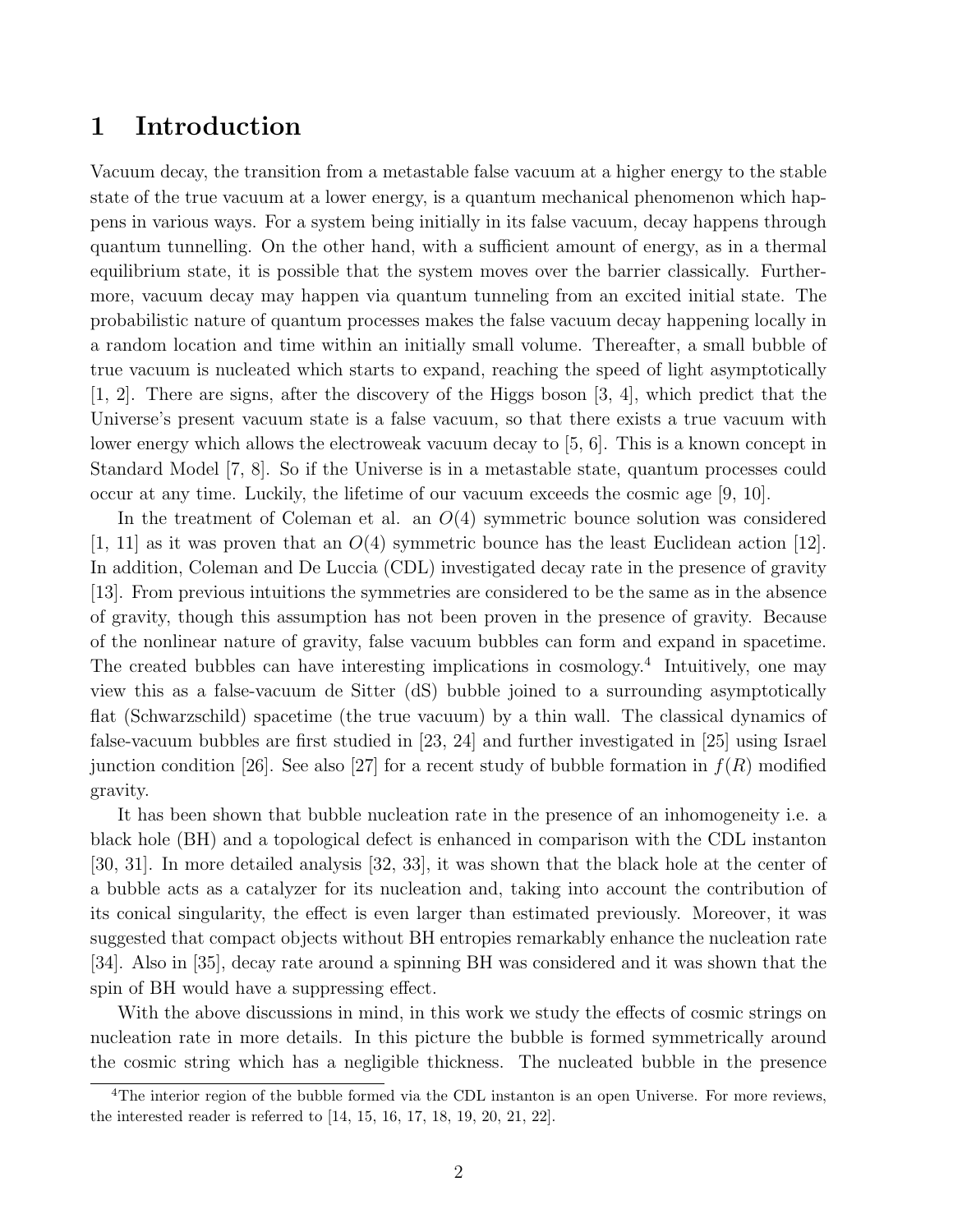# 1 Introduction

Vacuum decay, the transition from a metastable false vacuum at a higher energy to the stable state of the true vacuum at a lower energy, is a quantum mechanical phenomenon which happens in various ways. For a system being initially in its false vacuum, decay happens through quantum tunnelling. On the other hand, with a sufficient amount of energy, as in a thermal equilibrium state, it is possible that the system moves over the barrier classically. Furthermore, vacuum decay may happen via quantum tunneling from an excited initial state. The probabilistic nature of quantum processes makes the false vacuum decay happening locally in a random location and time within an initially small volume. Thereafter, a small bubble of true vacuum is nucleated which starts to expand, reaching the speed of light asymptotically [1, 2]. There are signs, after the discovery of the Higgs boson [3, 4], which predict that the Universe's present vacuum state is a false vacuum, so that there exists a true vacuum with lower energy which allows the electroweak vacuum decay to [5, 6]. This is a known concept in Standard Model [7, 8]. So if the Universe is in a metastable state, quantum processes could occur at any time. Luckily, the lifetime of our vacuum exceeds the cosmic age [9, 10].

In the treatment of Coleman et al. an  $O(4)$  symmetric bounce solution was considered  $[1, 11]$  as it was proven that an  $O(4)$  symmetric bounce has the least Euclidean action  $[12]$ . In addition, Coleman and De Luccia (CDL) investigated decay rate in the presence of gravity [13]. From previous intuitions the symmetries are considered to be the same as in the absence of gravity, though this assumption has not been proven in the presence of gravity. Because of the nonlinear nature of gravity, false vacuum bubbles can form and expand in spacetime. The created bubbles can have interesting implications in cosmology.<sup>4</sup> Intuitively, one may view this as a false-vacuum de Sitter (dS) bubble joined to a surrounding asymptotically flat (Schwarzschild) spacetime (the true vacuum) by a thin wall. The classical dynamics of false-vacuum bubbles are first studied in [23, 24] and further investigated in [25] using Israel junction condition [26]. See also [27] for a recent study of bubble formation in  $f(R)$  modified gravity.

It has been shown that bubble nucleation rate in the presence of an inhomogeneity i.e. a black hole (BH) and a topological defect is enhanced in comparison with the CDL instanton [30, 31]. In more detailed analysis [32, 33], it was shown that the black hole at the center of a bubble acts as a catalyzer for its nucleation and, taking into account the contribution of its conical singularity, the effect is even larger than estimated previously. Moreover, it was suggested that compact objects without BH entropies remarkably enhance the nucleation rate [34]. Also in [35], decay rate around a spinning BH was considered and it was shown that the spin of BH would have a suppressing effect.

With the above discussions in mind, in this work we study the effects of cosmic strings on nucleation rate in more details. In this picture the bubble is formed symmetrically around the cosmic string which has a negligible thickness. The nucleated bubble in the presence

<sup>&</sup>lt;sup>4</sup>The interior region of the bubble formed via the CDL instanton is an open Universe. For more reviews, the interested reader is referred to [14, 15, 16, 17, 18, 19, 20, 21, 22].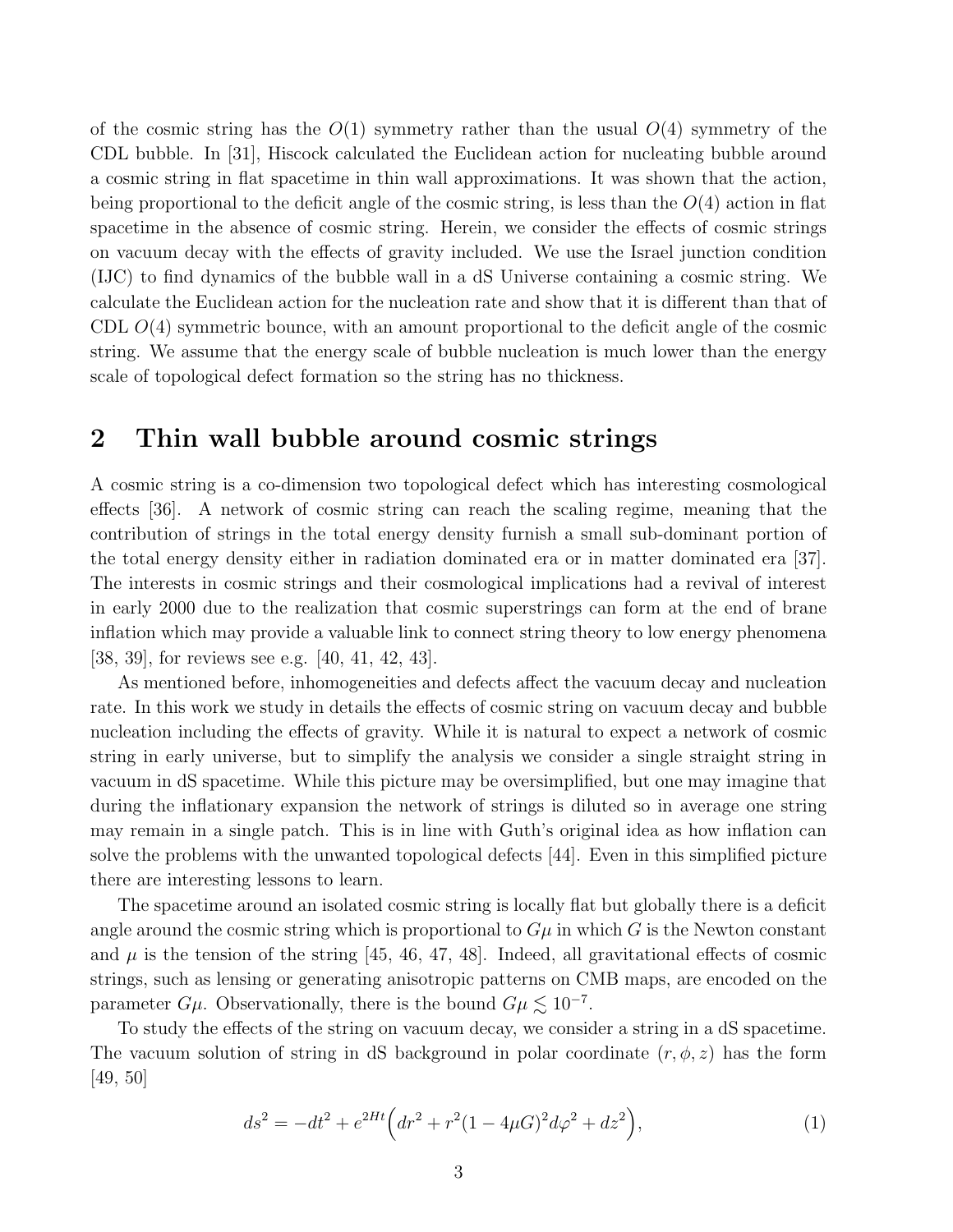of the cosmic string has the  $O(1)$  symmetry rather than the usual  $O(4)$  symmetry of the CDL bubble. In [31], Hiscock calculated the Euclidean action for nucleating bubble around a cosmic string in flat spacetime in thin wall approximations. It was shown that the action, being proportional to the deficit angle of the cosmic string, is less than the  $O(4)$  action in flat spacetime in the absence of cosmic string. Herein, we consider the effects of cosmic strings on vacuum decay with the effects of gravity included. We use the Israel junction condition (IJC) to find dynamics of the bubble wall in a dS Universe containing a cosmic string. We calculate the Euclidean action for the nucleation rate and show that it is different than that of CDL  $O(4)$  symmetric bounce, with an amount proportional to the deficit angle of the cosmic string. We assume that the energy scale of bubble nucleation is much lower than the energy scale of topological defect formation so the string has no thickness.

# 2 Thin wall bubble around cosmic strings

A cosmic string is a co-dimension two topological defect which has interesting cosmological effects [36]. A network of cosmic string can reach the scaling regime, meaning that the contribution of strings in the total energy density furnish a small sub-dominant portion of the total energy density either in radiation dominated era or in matter dominated era [37]. The interests in cosmic strings and their cosmological implications had a revival of interest in early 2000 due to the realization that cosmic superstrings can form at the end of brane inflation which may provide a valuable link to connect string theory to low energy phenomena [38, 39], for reviews see e.g. [40, 41, 42, 43].

As mentioned before, inhomogeneities and defects affect the vacuum decay and nucleation rate. In this work we study in details the effects of cosmic string on vacuum decay and bubble nucleation including the effects of gravity. While it is natural to expect a network of cosmic string in early universe, but to simplify the analysis we consider a single straight string in vacuum in dS spacetime. While this picture may be oversimplified, but one may imagine that during the inflationary expansion the network of strings is diluted so in average one string may remain in a single patch. This is in line with Guth's original idea as how inflation can solve the problems with the unwanted topological defects [44]. Even in this simplified picture there are interesting lessons to learn.

The spacetime around an isolated cosmic string is locally flat but globally there is a deficit angle around the cosmic string which is proportional to  $G\mu$  in which G is the Newton constant and  $\mu$  is the tension of the string [45, 46, 47, 48]. Indeed, all gravitational effects of cosmic strings, such as lensing or generating anisotropic patterns on CMB maps, are encoded on the parameter  $G\mu$ . Observationally, there is the bound  $G\mu \lesssim 10^{-7}$ .

To study the effects of the string on vacuum decay, we consider a string in a dS spacetime. The vacuum solution of string in dS background in polar coordinate  $(r, \phi, z)$  has the form [49, 50]

$$
ds^{2} = -dt^{2} + e^{2Ht} \left( dr^{2} + r^{2} (1 - 4\mu G)^{2} d\varphi^{2} + dz^{2} \right),
$$
\n(1)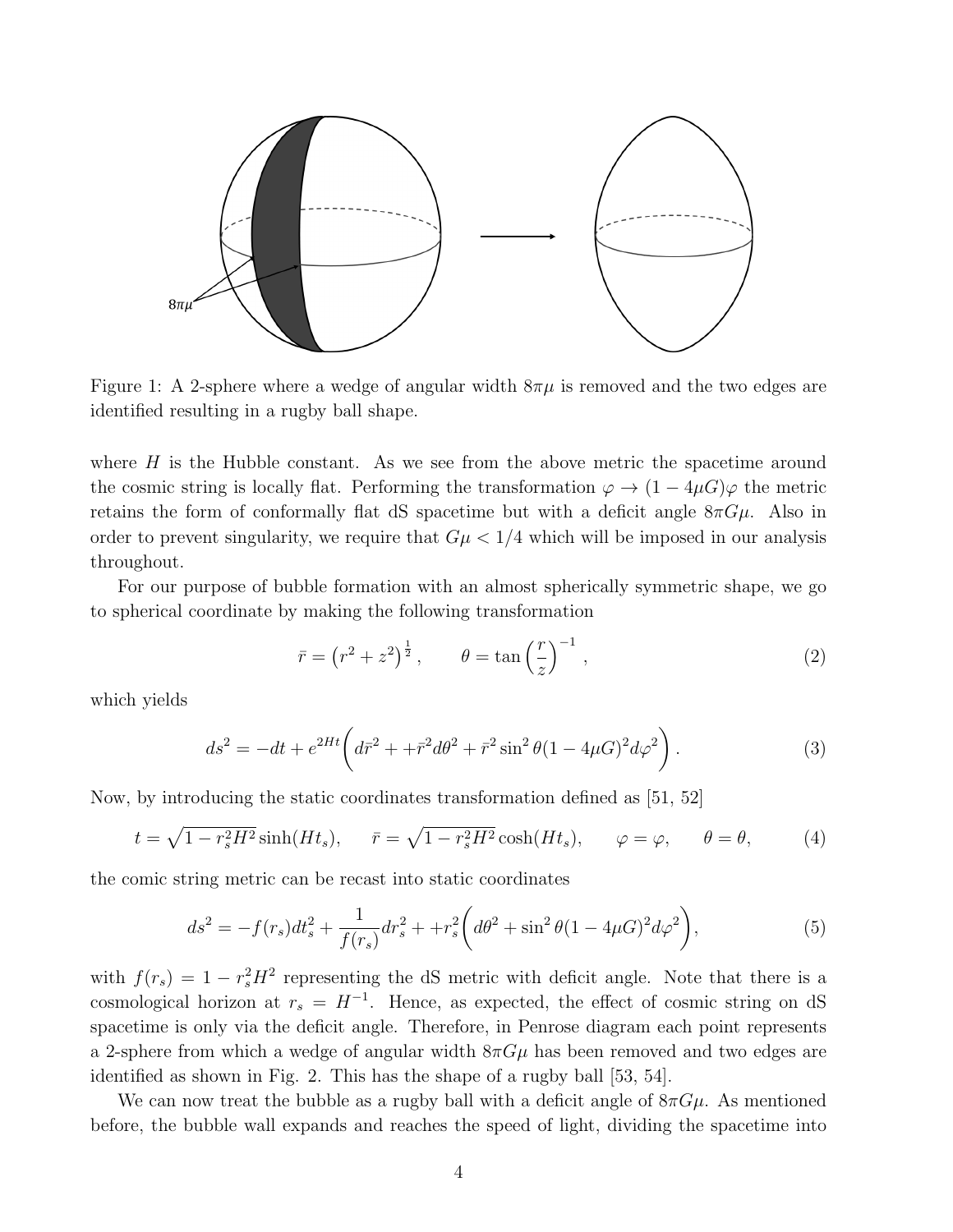

Figure 1: A 2-sphere where a wedge of angular width  $8\pi\mu$  is removed and the two edges are identified resulting in a rugby ball shape.

where  $H$  is the Hubble constant. As we see from the above metric the spacetime around the cosmic string is locally flat. Performing the transformation  $\varphi \to (1-4\mu G)\varphi$  the metric retains the form of conformally flat dS spacetime but with a deficit angle  $8\pi G\mu$ . Also in order to prevent singularity, we require that  $G\mu < 1/4$  which will be imposed in our analysis throughout.

For our purpose of bubble formation with an almost spherically symmetric shape, we go to spherical coordinate by making the following transformation

$$
\bar{r} = \left(r^2 + z^2\right)^{\frac{1}{2}}, \qquad \theta = \tan\left(\frac{r}{z}\right)^{-1},\tag{2}
$$

which yields

$$
ds^{2} = -dt + e^{2Ht} \left( d\bar{r}^{2} + + \bar{r}^{2} d\theta^{2} + \bar{r}^{2} \sin^{2} \theta (1 - 4\mu G)^{2} d\varphi^{2} \right).
$$
 (3)

Now, by introducing the static coordinates transformation defined as [51, 52]

$$
t = \sqrt{1 - r_s^2 H^2} \sinh(Ht_s), \quad \bar{r} = \sqrt{1 - r_s^2 H^2} \cosh(Ht_s), \quad \varphi = \varphi, \quad \theta = \theta,
$$
 (4)

the comic string metric can be recast into static coordinates

$$
ds^{2} = -f(r_{s})dt_{s}^{2} + \frac{1}{f(r_{s})}dr_{s}^{2} + +r_{s}^{2}\left(d\theta^{2} + \sin^{2}\theta(1 - 4\mu G)^{2}d\varphi^{2}\right),
$$
\n(5)

with  $f(r_s) = 1 - r_s^2 H^2$  representing the dS metric with deficit angle. Note that there is a cosmological horizon at  $r_s = H^{-1}$ . Hence, as expected, the effect of cosmic string on dS spacetime is only via the deficit angle. Therefore, in Penrose diagram each point represents a 2-sphere from which a wedge of angular width  $8\pi G\mu$  has been removed and two edges are identified as shown in Fig. 2. This has the shape of a rugby ball [53, 54].

We can now treat the bubble as a rugby ball with a deficit angle of  $8\pi G\mu$ . As mentioned before, the bubble wall expands and reaches the speed of light, dividing the spacetime into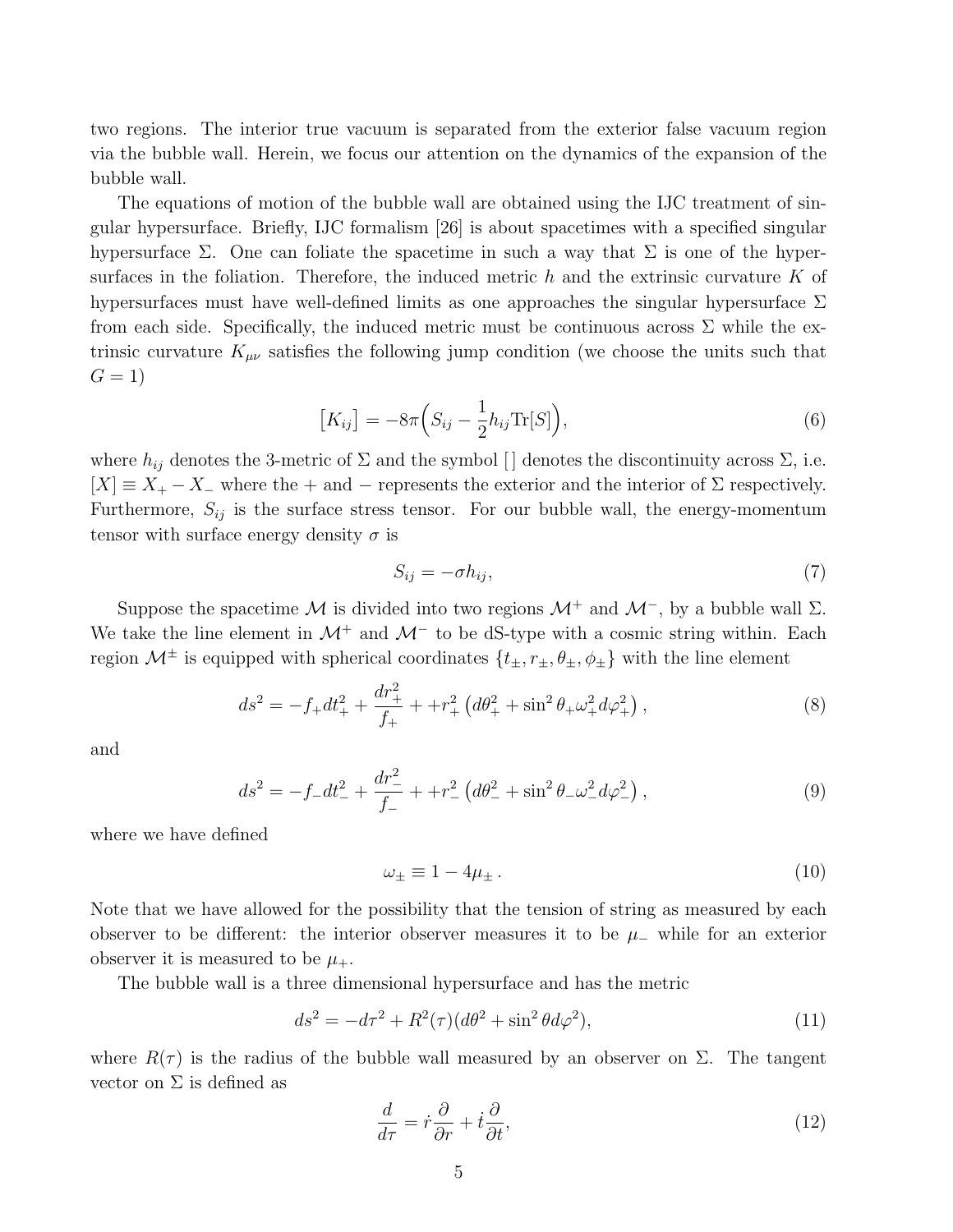two regions. The interior true vacuum is separated from the exterior false vacuum region via the bubble wall. Herein, we focus our attention on the dynamics of the expansion of the bubble wall.

The equations of motion of the bubble wall are obtained using the IJC treatment of singular hypersurface. Briefly, IJC formalism [26] is about spacetimes with a specified singular hypersurface  $\Sigma$ . One can foliate the spacetime in such a way that  $\Sigma$  is one of the hypersurfaces in the foliation. Therefore, the induced metric  $h$  and the extrinsic curvature  $K$  of hypersurfaces must have well-defined limits as one approaches the singular hypersurface  $\Sigma$ from each side. Specifically, the induced metric must be continuous across  $\Sigma$  while the extrinsic curvature  $K_{\mu\nu}$  satisfies the following jump condition (we choose the units such that  $G = 1$ 

$$
\left[K_{ij}\right] = -8\pi \left(S_{ij} - \frac{1}{2}h_{ij}\text{Tr}[S]\right),\tag{6}
$$

where  $h_{ij}$  denotes the 3-metric of  $\Sigma$  and the symbol [] denotes the discontinuity across  $\Sigma$ , i.e.  $[X] \equiv X_+ - X_-$  where the + and − represents the exterior and the interior of  $\Sigma$  respectively. Furthermore,  $S_{ij}$  is the surface stress tensor. For our bubble wall, the energy-momentum tensor with surface energy density  $\sigma$  is

$$
S_{ij} = -\sigma h_{ij},\tag{7}
$$

Suppose the spacetime M is divided into two regions  $\mathcal{M}^+$  and  $\mathcal{M}^-$ , by a bubble wall  $\Sigma$ . We take the line element in  $\mathcal{M}^+$  and  $\mathcal{M}^-$  to be dS-type with a cosmic string within. Each region  $\mathcal{M}^{\pm}$  is equipped with spherical coordinates  $\{t_{\pm}, r_{\pm}, \theta_{\pm}, \phi_{\pm}\}\$  with the line element

$$
ds^{2} = -f_{+}dt_{+}^{2} + \frac{dr_{+}^{2}}{f_{+}} + r_{+}^{2} \left(d\theta_{+}^{2} + \sin^{2}\theta_{+}\omega_{+}^{2}d\varphi_{+}^{2}\right),
$$
\n(8)

and

$$
ds^{2} = -f_{-}dt_{-}^{2} + \frac{dr_{-}^{2}}{f_{-}} + r_{-}^{2} \left(d\theta_{-}^{2} + \sin^{2}\theta_{-}\omega_{-}^{2}d\varphi_{-}^{2}\right),
$$
\n(9)

where we have defined

$$
\omega_{\pm} \equiv 1 - 4\mu_{\pm} \,. \tag{10}
$$

Note that we have allowed for the possibility that the tension of string as measured by each observer to be different: the interior observer measures it to be  $\mu_-\,$  while for an exterior observer it is measured to be  $\mu_{+}$ .

The bubble wall is a three dimensional hypersurface and has the metric

$$
ds^{2} = -d\tau^{2} + R^{2}(\tau)(d\theta^{2} + \sin^{2}\theta d\varphi^{2}),
$$
\n(11)

where  $R(\tau)$  is the radius of the bubble wall measured by an observer on  $\Sigma$ . The tangent vector on  $\Sigma$  is defined as

$$
\frac{d}{d\tau} = \dot{r}\frac{\partial}{\partial r} + \dot{t}\frac{\partial}{\partial t},\tag{12}
$$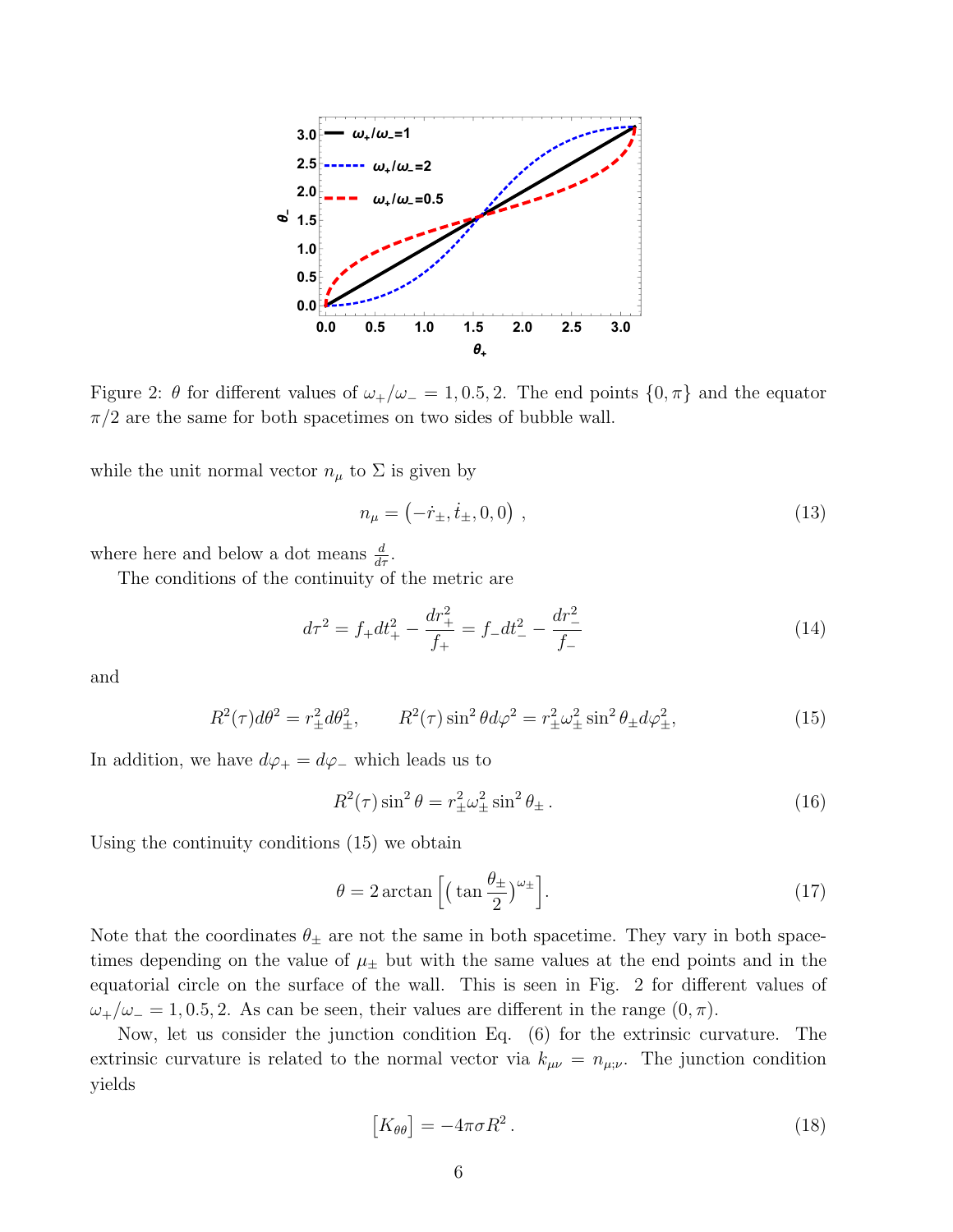

Figure 2:  $\theta$  for different values of  $\omega_+/\omega_- = 1, 0.5, 2$ . The end points  $\{0, \pi\}$  and the equator  $\pi/2$  are the same for both spacetimes on two sides of bubble wall.

while the unit normal vector  $n_{\mu}$  to  $\Sigma$  is given by

$$
n_{\mu} = (-\dot{r}_{\pm}, \dot{t}_{\pm}, 0, 0) \tag{13}
$$

where here and below a dot means  $\frac{d}{dr}$ .

The conditions of the continuity of the metric are

$$
d\tau^2 = f_+ dt_+^2 - \frac{dr_+^2}{f_+} = f_- dt_-^2 - \frac{dr_-^2}{f_-}
$$
 (14)

and

$$
R^{2}(\tau)d\theta^{2} = r_{\pm}^{2}d\theta_{\pm}^{2}, \qquad R^{2}(\tau)\sin^{2}\theta d\varphi^{2} = r_{\pm}^{2}\omega_{\pm}^{2}\sin^{2}\theta_{\pm}d\varphi_{\pm}^{2}, \qquad (15)
$$

In addition, we have  $d\varphi_+ = d\varphi_-$  which leads us to

$$
R^2(\tau)\sin^2\theta = r^2_{\pm}\omega^2_{\pm}\sin^2\theta_{\pm}.
$$
\n(16)

Using the continuity conditions (15) we obtain

$$
\theta = 2 \arctan \left[ \left( \tan \frac{\theta_{\pm}}{2} \right)^{\omega_{\pm}} \right]. \tag{17}
$$

Note that the coordinates  $\theta_{\pm}$  are not the same in both spacetime. They vary in both spacetimes depending on the value of  $\mu_{\pm}$  but with the same values at the end points and in the equatorial circle on the surface of the wall. This is seen in Fig. 2 for different values of  $\omega_{+}/\omega_{-} = 1, 0.5, 2$ . As can be seen, their values are different in the range  $(0, \pi)$ .

Now, let us consider the junction condition Eq. (6) for the extrinsic curvature. The extrinsic curvature is related to the normal vector via  $k_{\mu\nu} = n_{\mu;\nu}$ . The junction condition yields

$$
[K_{\theta\theta}] = -4\pi\sigma R^2. \tag{18}
$$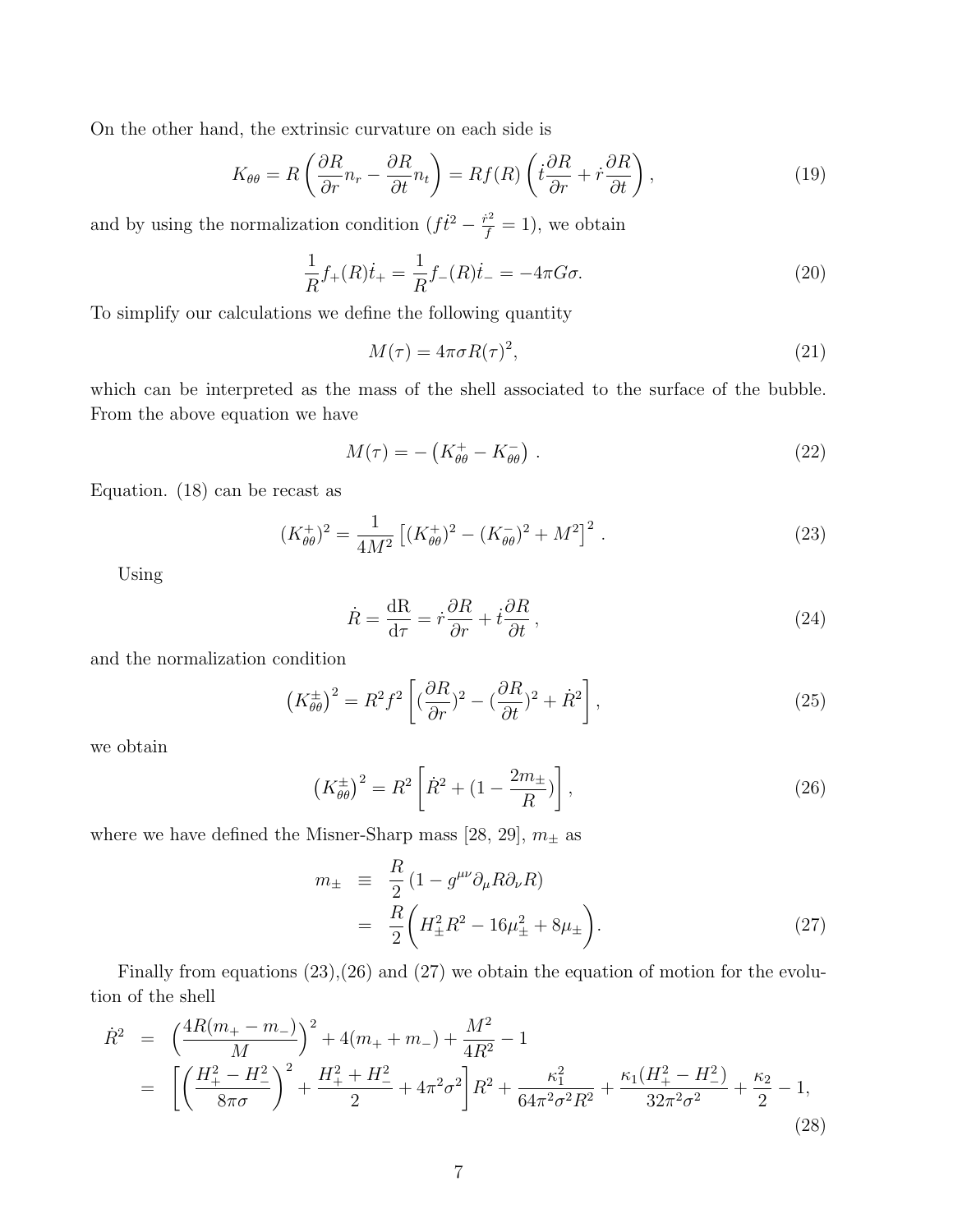On the other hand, the extrinsic curvature on each side is

$$
K_{\theta\theta} = R\left(\frac{\partial R}{\partial r}n_r - \frac{\partial R}{\partial t}n_t\right) = Rf(R)\left(t\frac{\partial R}{\partial r} + \dot{r}\frac{\partial R}{\partial t}\right),\tag{19}
$$

and by using the normalization condition  $(f\dot{t}^2 - \frac{\dot{r}^2}{f} = 1)$ , we obtain

$$
\frac{1}{R}f_{+}(R)\dot{t}_{+} = \frac{1}{R}f_{-}(R)\dot{t}_{-} = -4\pi G\sigma.
$$
\n(20)

To simplify our calculations we define the following quantity

$$
M(\tau) = 4\pi\sigma R(\tau)^2,\tag{21}
$$

which can be interpreted as the mass of the shell associated to the surface of the bubble. From the above equation we have

$$
M(\tau) = -\left(K_{\theta\theta}^+ - K_{\theta\theta}^-\right). \tag{22}
$$

Equation. (18) can be recast as

$$
(K_{\theta\theta}^{+})^2 = \frac{1}{4M^2} \left[ (K_{\theta\theta}^{+})^2 - (K_{\theta\theta}^{-})^2 + M^2 \right]^2.
$$
 (23)

Using

$$
\dot{R} = \frac{\mathrm{dR}}{\mathrm{d}\tau} = \dot{r}\frac{\partial R}{\partial r} + \dot{t}\frac{\partial R}{\partial t},\qquad(24)
$$

and the normalization condition

$$
\left(K_{\theta\theta}^{\pm}\right)^2 = R^2 f^2 \left[ \left(\frac{\partial R}{\partial r}\right)^2 - \left(\frac{\partial R}{\partial t}\right)^2 + \dot{R}^2 \right],\tag{25}
$$

we obtain

$$
\left(K_{\theta\theta}^{\pm}\right)^{2} = R^{2} \left[\dot{R}^{2} + (1 - \frac{2m_{\pm}}{R})\right],
$$
\n(26)

where we have defined the Misner-Sharp mass [28, 29],  $m_\pm$  as

$$
m_{\pm} \equiv \frac{R}{2} (1 - g^{\mu\nu} \partial_{\mu} R \partial_{\nu} R) = \frac{R}{2} \left( H_{\pm}^2 R^2 - 16 \mu_{\pm}^2 + 8 \mu_{\pm} \right).
$$
 (27)

Finally from equations (23),(26) and (27) we obtain the equation of motion for the evolution of the shell

$$
\dot{R}^{2} = \left(\frac{4R(m_{+}-m_{-})}{M}\right)^{2} + 4(m_{+}+m_{-}) + \frac{M^{2}}{4R^{2}} - 1
$$
\n
$$
= \left[\left(\frac{H_{+}^{2}-H_{-}^{2}}{8\pi\sigma}\right)^{2} + \frac{H_{+}^{2}+H_{-}^{2}}{2} + 4\pi^{2}\sigma^{2}\right]R^{2} + \frac{\kappa_{1}^{2}}{64\pi^{2}\sigma^{2}R^{2}} + \frac{\kappa_{1}(H_{+}^{2}-H_{-}^{2})}{32\pi^{2}\sigma^{2}} + \frac{\kappa_{2}}{2} - 1,
$$
\n(28)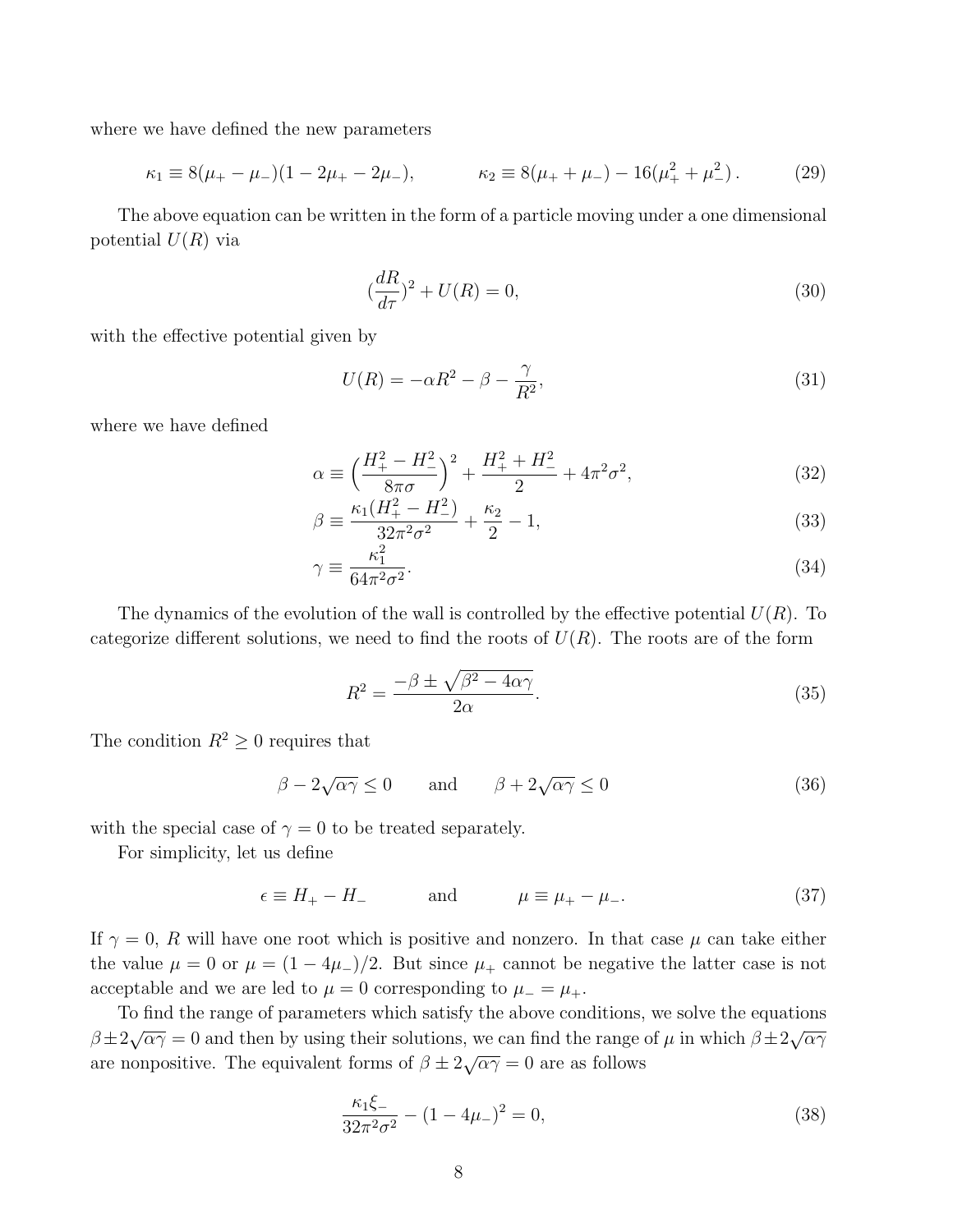where we have defined the new parameters

$$
\kappa_1 \equiv 8(\mu_+ - \mu_-)(1 - 2\mu_+ - 2\mu_-), \qquad \kappa_2 \equiv 8(\mu_+ + \mu_-) - 16(\mu_+^2 + \mu_-^2). \tag{29}
$$

The above equation can be written in the form of a particle moving under a one dimensional potential  $U(R)$  via

$$
\left(\frac{dR}{d\tau}\right)^2 + U(R) = 0,\tag{30}
$$

with the effective potential given by

$$
U(R) = -\alpha R^2 - \beta - \frac{\gamma}{R^2},\tag{31}
$$

where we have defined

$$
\alpha \equiv \left(\frac{H_{+}^{2} - H_{-}^{2}}{8\pi\sigma}\right)^{2} + \frac{H_{+}^{2} + H_{-}^{2}}{2} + 4\pi^{2}\sigma^{2},\tag{32}
$$

$$
\beta \equiv \frac{\kappa_1 (H_+^2 - H_-^2)}{32\pi^2 \sigma^2} + \frac{\kappa_2}{2} - 1,\tag{33}
$$

$$
\gamma \equiv \frac{\kappa_1^2}{64\pi^2 \sigma^2}.\tag{34}
$$

The dynamics of the evolution of the wall is controlled by the effective potential  $U(R)$ . To categorize different solutions, we need to find the roots of  $U(R)$ . The roots are of the form

$$
R^2 = \frac{-\beta \pm \sqrt{\beta^2 - 4\alpha\gamma}}{2\alpha}.
$$
\n(35)

The condition  $R^2 \geq 0$  requires that

$$
\beta - 2\sqrt{\alpha \gamma} \le 0 \quad \text{and} \quad \beta + 2\sqrt{\alpha \gamma} \le 0 \tag{36}
$$

with the special case of  $\gamma = 0$  to be treated separately.

For simplicity, let us define

$$
\epsilon \equiv H_+ - H_- \qquad \text{and} \qquad \mu \equiv \mu_+ - \mu_-.
$$
 (37)

If  $\gamma = 0$ , R will have one root which is positive and nonzero. In that case  $\mu$  can take either the value  $\mu = 0$  or  $\mu = (1 - 4\mu_{-})/2$ . But since  $\mu_{+}$  cannot be negative the latter case is not acceptable and we are led to  $\mu = 0$  corresponding to  $\mu = \mu_+$ .

To find the range of parameters which satisfy the above conditions, we solve the equations  $β±2√αγ = 0$  and then by using their solutions, we can find the range of  $μ$  in which  $β±2√αγ$  $\beta \pm 2\sqrt{\alpha}$ , b and then by asing then solutions, we can find the range of  $\beta \pm 2\sqrt{\alpha\gamma} = 0$  are as follows

$$
\frac{\kappa_1 \xi_-}{32\pi^2 \sigma^2} - (1 - 4\mu_-)^2 = 0,\tag{38}
$$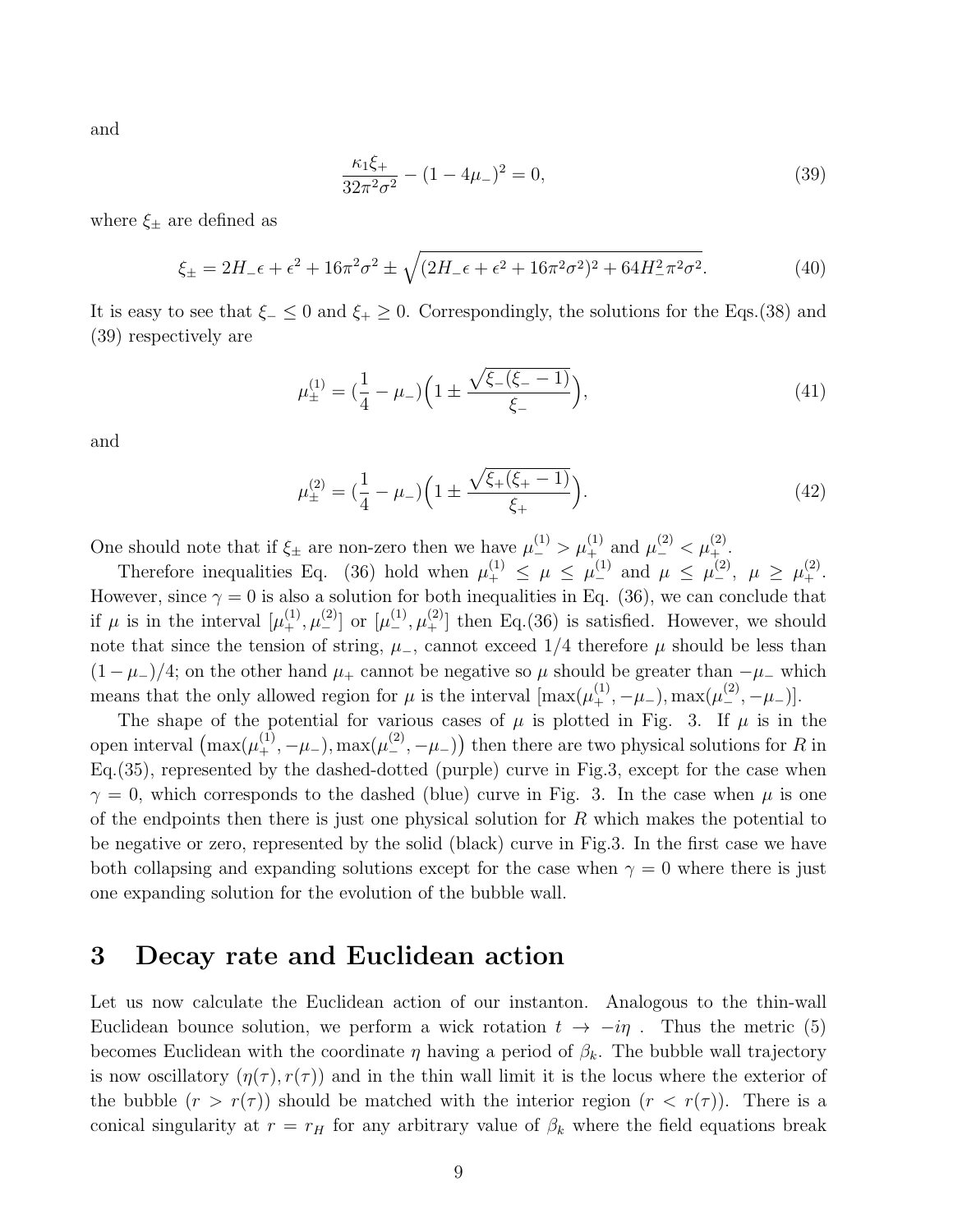and

$$
\frac{\kappa_1 \xi_+}{32\pi^2 \sigma^2} - (1 - 4\mu_-)^2 = 0,\tag{39}
$$

where  $\xi_{\pm}$  are defined as

$$
\xi_{\pm} = 2H_{-}\epsilon + \epsilon^{2} + 16\pi^{2}\sigma^{2} \pm \sqrt{(2H_{-}\epsilon + \epsilon^{2} + 16\pi^{2}\sigma^{2})^{2} + 64H_{-}^{2}\pi^{2}\sigma^{2}}.
$$
\n(40)

It is easy to see that  $\xi_-\leq 0$  and  $\xi_+\geq 0$ . Correspondingly, the solutions for the Eqs.(38) and (39) respectively are

$$
\mu_{\pm}^{(1)} = \left(\frac{1}{4} - \mu_{-}\right) \left(1 \pm \frac{\sqrt{\xi_{-}(\xi_{-} - 1)}}{\xi_{-}}\right),\tag{41}
$$

and

$$
\mu_{\pm}^{(2)} = \left(\frac{1}{4} - \mu_{-}\right) \left(1 \pm \frac{\sqrt{\xi_{+}(\xi_{+} - 1)}}{\xi_{+}}\right). \tag{42}
$$

One should note that if  $\xi_{\pm}$  are non-zero then we have  $\mu_{-}^{(1)} > \mu_{+}^{(1)}$  and  $\mu_{-}^{(2)} < \mu_{+}^{(2)}$ .

Therefore inequalities Eq. (36) hold when  $\mu_+^{(1)} \leq \mu \leq \mu_-^{(1)}$  and  $\mu \leq \mu_-^{(2)}$ ,  $\mu \geq \mu_+^{(2)}$ . However, since  $\gamma = 0$  is also a solution for both inequalities in Eq. (36), we can conclude that if  $\mu$  is in the interval  $[\mu_+^{(1)}, \mu_-^{(2)}]$  or  $[\mu_-^{(1)}, \mu_+^{(2)}]$  then Eq.(36) is satisfied. However, we should note that since the tension of string,  $\mu$ , cannot exceed 1/4 therefore  $\mu$  should be less than  $(1 - \mu_{-})/4$ ; on the other hand  $\mu_{+}$  cannot be negative so  $\mu$  should be greater than  $-\mu_{-}$  which means that the only allowed region for  $\mu$  is the interval  $[\max(\mu_+^{(1)}, -\mu_-), \max(\mu_-^{(2)}, -\mu_-)].$ 

The shape of the potential for various cases of  $\mu$  is plotted in Fig. 3. If  $\mu$  is in the open interval  $(\max(\mu_+^{(1)}, -\mu_-), \max(\mu_-^{(2)}, -\mu_-))$  then there are two physical solutions for R in Eq.(35), represented by the dashed-dotted (purple) curve in Fig.3, except for the case when  $\gamma = 0$ , which corresponds to the dashed (blue) curve in Fig. 3. In the case when  $\mu$  is one of the endpoints then there is just one physical solution for  $R$  which makes the potential to be negative or zero, represented by the solid (black) curve in Fig.3. In the first case we have both collapsing and expanding solutions except for the case when  $\gamma = 0$  where there is just one expanding solution for the evolution of the bubble wall.

## 3 Decay rate and Euclidean action

Let us now calculate the Euclidean action of our instanton. Analogous to the thin-wall Euclidean bounce solution, we perform a wick rotation  $t \to -i\eta$ . Thus the metric (5) becomes Euclidean with the coordinate  $\eta$  having a period of  $\beta_k$ . The bubble wall trajectory is now oscillatory  $(\eta(\tau), r(\tau))$  and in the thin wall limit it is the locus where the exterior of the bubble  $(r > r(\tau))$  should be matched with the interior region  $(r < r(\tau))$ . There is a conical singularity at  $r = r_H$  for any arbitrary value of  $\beta_k$  where the field equations break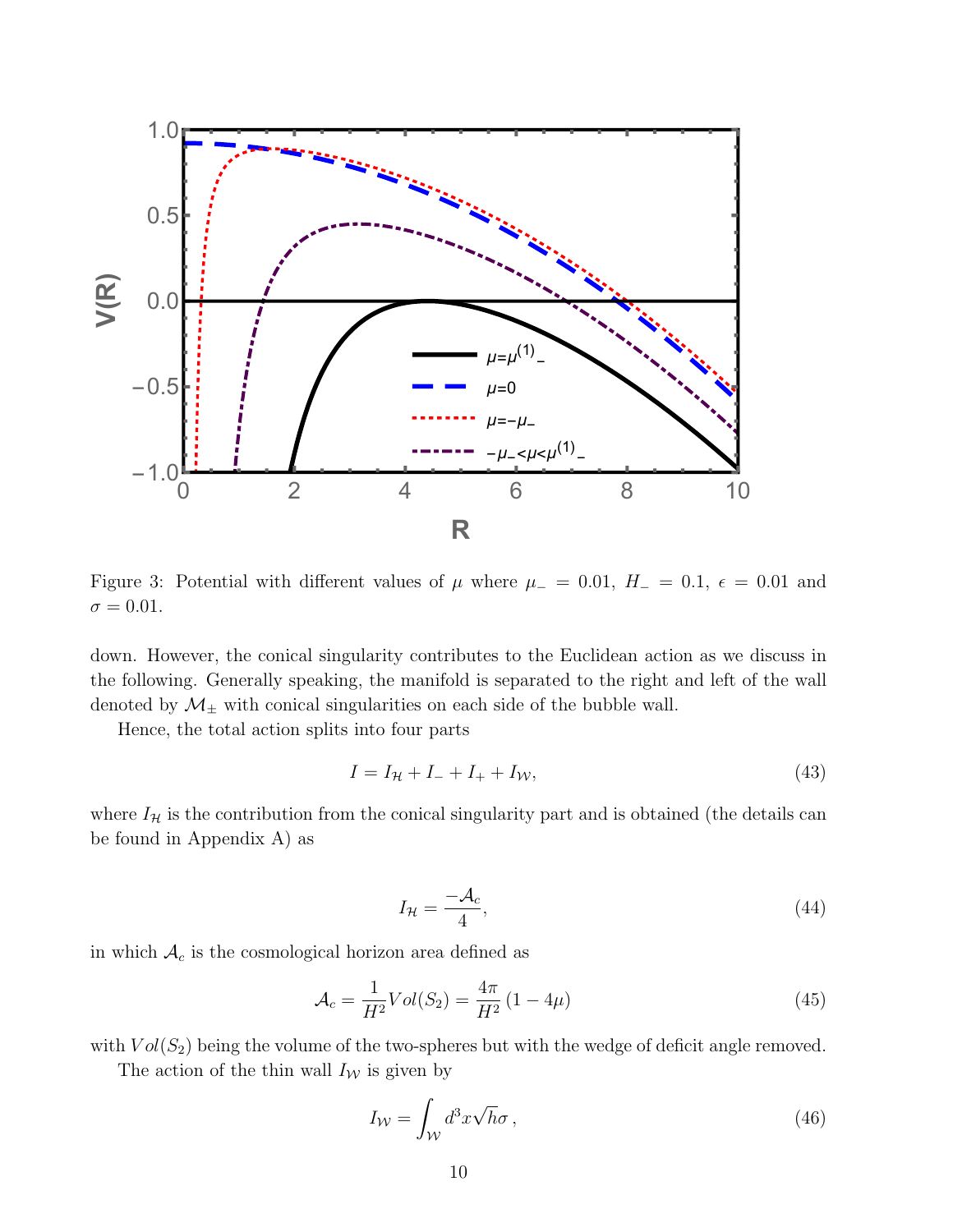

Figure 3: Potential with different values of  $\mu$  where  $\mu_- = 0.01$ ,  $H_- = 0.1$ ,  $\epsilon = 0.01$  and  $\sigma = 0.01$ .

down. However, the conical singularity contributes to the Euclidean action as we discuss in the following. Generally speaking, the manifold is separated to the right and left of the wall denoted by  $\mathcal{M}_{\pm}$  with conical singularities on each side of the bubble wall.

Hence, the total action splits into four parts

$$
I = I_{\mathcal{H}} + I_{-} + I_{+} + I_{\mathcal{W}},\tag{43}
$$

where  $I_{\mathcal{H}}$  is the contribution from the conical singularity part and is obtained (the details can be found in Appendix A) as

$$
I_{\mathcal{H}} = \frac{-\mathcal{A}_c}{4},\tag{44}
$$

in which  $A_c$  is the cosmological horizon area defined as

$$
\mathcal{A}_c = \frac{1}{H^2} Vol(S_2) = \frac{4\pi}{H^2} (1 - 4\mu)
$$
\n(45)

with  $Vol(S_2)$  being the volume of the two-spheres but with the wedge of deficit angle removed.

The action of the thin wall  $I_W$  is given by

$$
I_{\mathcal{W}} = \int_{\mathcal{W}} d^3 x \sqrt{h} \sigma , \qquad (46)
$$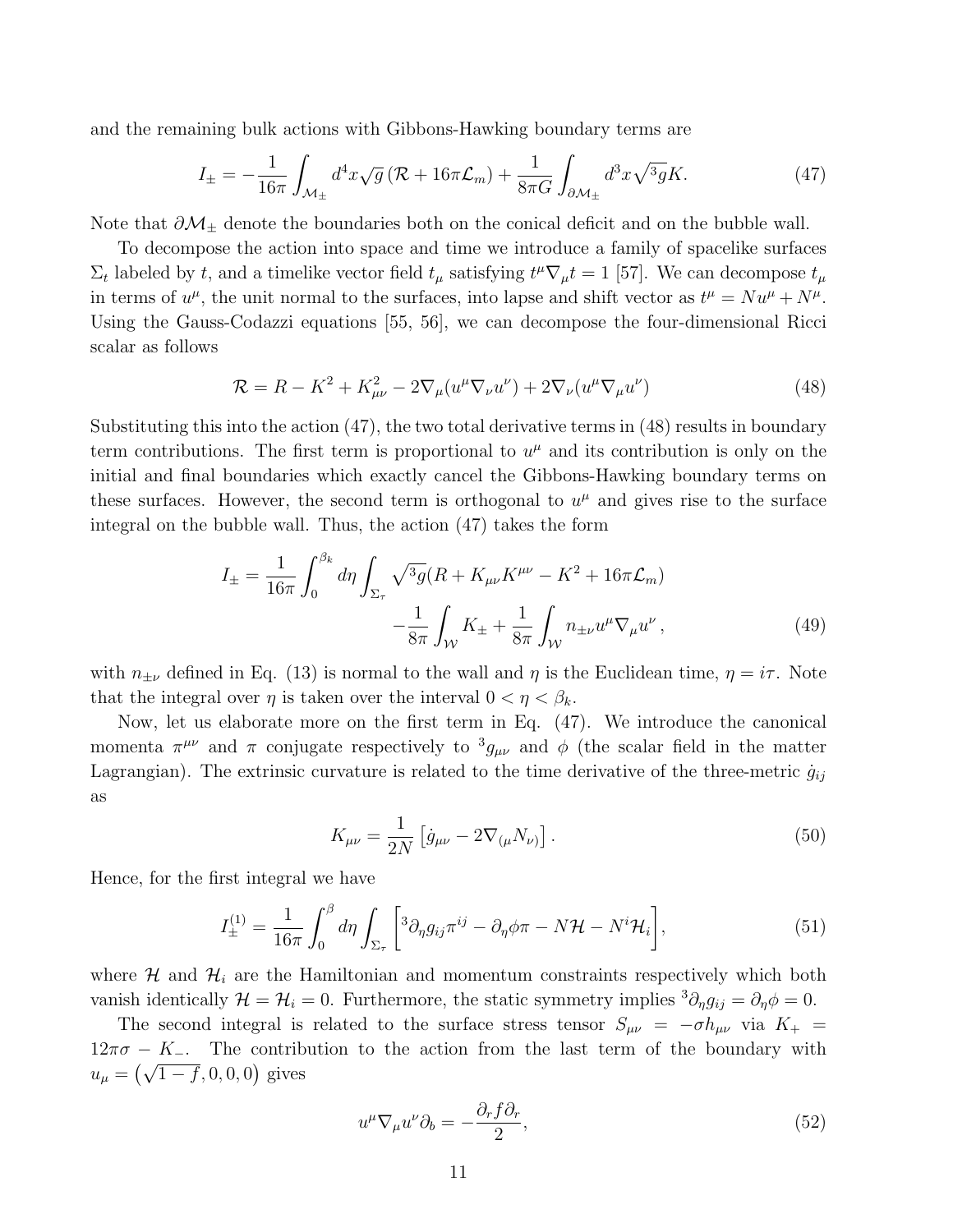and the remaining bulk actions with Gibbons-Hawking boundary terms are

$$
I_{\pm} = -\frac{1}{16\pi} \int_{\mathcal{M}_{\pm}} d^4 x \sqrt{g} \left( \mathcal{R} + 16\pi \mathcal{L}_m \right) + \frac{1}{8\pi G} \int_{\partial \mathcal{M}_{\pm}} d^3 x \sqrt{^3 g} K. \tag{47}
$$

Note that  $\partial \mathcal{M}_{\pm}$  denote the boundaries both on the conical deficit and on the bubble wall.

To decompose the action into space and time we introduce a family of spacelike surfaces  $\Sigma_t$  labeled by t, and a timelike vector field  $t_\mu$  satisfying  $t^\mu \nabla_\mu t = 1$  [57]. We can decompose  $t_\mu$ in terms of  $u^{\mu}$ , the unit normal to the surfaces, into lapse and shift vector as  $t^{\mu} = Nu^{\mu} + N^{\mu}$ . Using the Gauss-Codazzi equations [55, 56], we can decompose the four-dimensional Ricci scalar as follows

$$
\mathcal{R} = R - K^2 + K_{\mu\nu}^2 - 2\nabla_{\mu}(u^{\mu}\nabla_{\nu}u^{\nu}) + 2\nabla_{\nu}(u^{\mu}\nabla_{\mu}u^{\nu})
$$
(48)

Substituting this into the action (47), the two total derivative terms in (48) results in boundary term contributions. The first term is proportional to  $u^{\mu}$  and its contribution is only on the initial and final boundaries which exactly cancel the Gibbons-Hawking boundary terms on these surfaces. However, the second term is orthogonal to  $u^{\mu}$  and gives rise to the surface integral on the bubble wall. Thus, the action (47) takes the form

$$
I_{\pm} = \frac{1}{16\pi} \int_0^{\beta_k} d\eta \int_{\Sigma_{\tau}} \sqrt{^3 g} (R + K_{\mu\nu} K^{\mu\nu} - K^2 + 16\pi \mathcal{L}_m) -\frac{1}{8\pi} \int_W K_{\pm} + \frac{1}{8\pi} \int_W n_{\pm\nu} u^{\mu} \nabla_{\mu} u^{\nu},
$$
(49)

with  $n_{\pm\nu}$  defined in Eq. (13) is normal to the wall and  $\eta$  is the Euclidean time,  $\eta = i\tau$ . Note that the integral over  $\eta$  is taken over the interval  $0 < \eta < \beta_k$ .

Now, let us elaborate more on the first term in Eq. (47). We introduce the canonical momenta  $\pi^{\mu\nu}$  and  $\pi$  conjugate respectively to  ${}^3g_{\mu\nu}$  and  $\phi$  (the scalar field in the matter Lagrangian). The extrinsic curvature is related to the time derivative of the three-metric  $\dot{g}_{ij}$ as

$$
K_{\mu\nu} = \frac{1}{2N} \left[ \dot{g}_{\mu\nu} - 2 \nabla_{(\mu} N_{\nu)} \right]. \tag{50}
$$

Hence, for the first integral we have

$$
I_{\pm}^{(1)} = \frac{1}{16\pi} \int_0^\beta d\eta \int_{\Sigma_\tau} \left[ {}^3\partial_\eta g_{ij} \pi^{ij} - \partial_\eta \phi \pi - N \mathcal{H} - N^i \mathcal{H}_i \right],\tag{51}
$$

where  $\mathcal{H}$  and  $\mathcal{H}_i$  are the Hamiltonian and momentum constraints respectively which both vanish identically  $\mathcal{H} = \mathcal{H}_i = 0$ . Furthermore, the static symmetry implies  ${}^3\partial_{\eta}g_{ij} = \partial_{\eta}\phi = 0$ .

The second integral is related to the surface stress tensor  $S_{\mu\nu} = -\sigma h_{\mu\nu}$  via  $K_{+} =$  $12\pi\sigma - K_$ . The contribution to the action from the last term of the boundary with  $u_{\mu} = (\sqrt{1-f}, 0, 0, 0)$  gives

$$
u^{\mu}\nabla_{\mu}u^{\nu}\partial_{b} = -\frac{\partial_{r}f\partial_{r}}{2},\qquad(52)
$$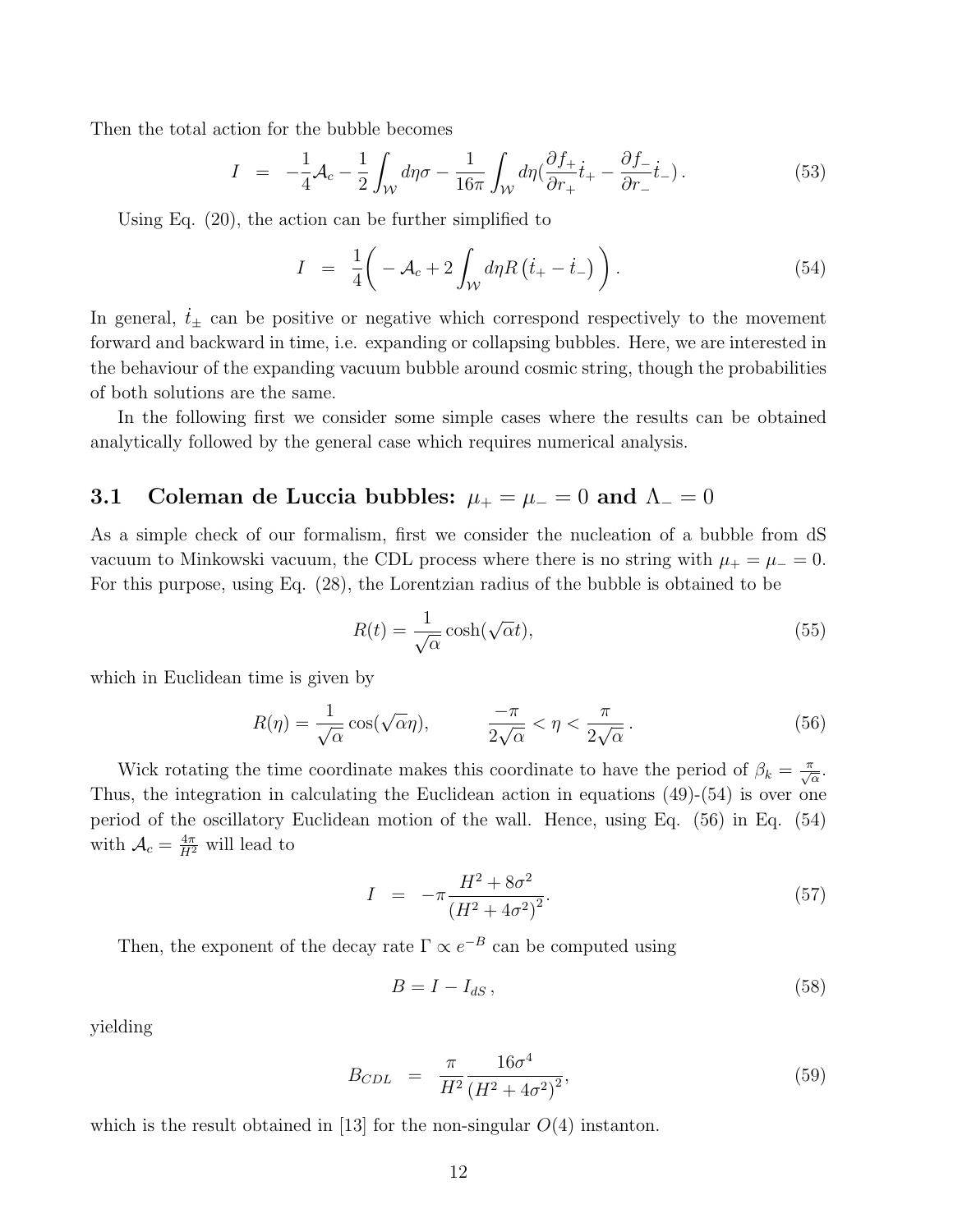Then the total action for the bubble becomes

$$
I = -\frac{1}{4} \mathcal{A}_c - \frac{1}{2} \int_{\mathcal{W}} d\eta \sigma - \frac{1}{16\pi} \int_{\mathcal{W}} d\eta \left( \frac{\partial f_+}{\partial r_+} \dot{t}_+ - \frac{\partial f_-}{\partial r_-} \dot{t}_- \right). \tag{53}
$$

Using Eq. (20), the action can be further simplified to

$$
I = \frac{1}{4} \left( -\mathcal{A}_c + 2 \int_{\mathcal{W}} d\eta R \left( \dot{t}_+ - \dot{t}_- \right) \right). \tag{54}
$$

In general,  $t_{\pm}$  can be positive or negative which correspond respectively to the movement forward and backward in time, i.e. expanding or collapsing bubbles. Here, we are interested in the behaviour of the expanding vacuum bubble around cosmic string, though the probabilities of both solutions are the same.

In the following first we consider some simple cases where the results can be obtained analytically followed by the general case which requires numerical analysis.

# 3.1 Coleman de Luccia bubbles:  $\mu_+ = \mu_- = 0$  and  $\Lambda_- = 0$

As a simple check of our formalism, first we consider the nucleation of a bubble from dS vacuum to Minkowski vacuum, the CDL process where there is no string with  $\mu_+ = \mu_- = 0$ . For this purpose, using Eq. (28), the Lorentzian radius of the bubble is obtained to be

$$
R(t) = \frac{1}{\sqrt{\alpha}} \cosh(\sqrt{\alpha}t),\tag{55}
$$

which in Euclidean time is given by

$$
R(\eta) = \frac{1}{\sqrt{\alpha}} \cos(\sqrt{\alpha}\eta), \qquad \frac{-\pi}{2\sqrt{\alpha}} < \eta < \frac{\pi}{2\sqrt{\alpha}}.
$$
 (56)

Wick rotating the time coordinate makes this coordinate to have the period of  $\beta_k = \frac{\pi}{\sqrt{\alpha}}$ . Thus, the integration in calculating the Euclidean action in equations (49)-(54) is over one period of the oscillatory Euclidean motion of the wall. Hence, using Eq. (56) in Eq. (54) with  $A_c = \frac{4\pi}{H^2}$  will lead to

$$
I = -\pi \frac{H^2 + 8\sigma^2}{(H^2 + 4\sigma^2)^2}.
$$
\n(57)

Then, the exponent of the decay rate  $\Gamma \propto e^{-B}$  can be computed using

$$
B = I - I_{dS},\tag{58}
$$

yielding

$$
B_{CDL} = \frac{\pi}{H^2} \frac{16\sigma^4}{\left(H^2 + 4\sigma^2\right)^2},\tag{59}
$$

which is the result obtained in [13] for the non-singular  $O(4)$  instanton.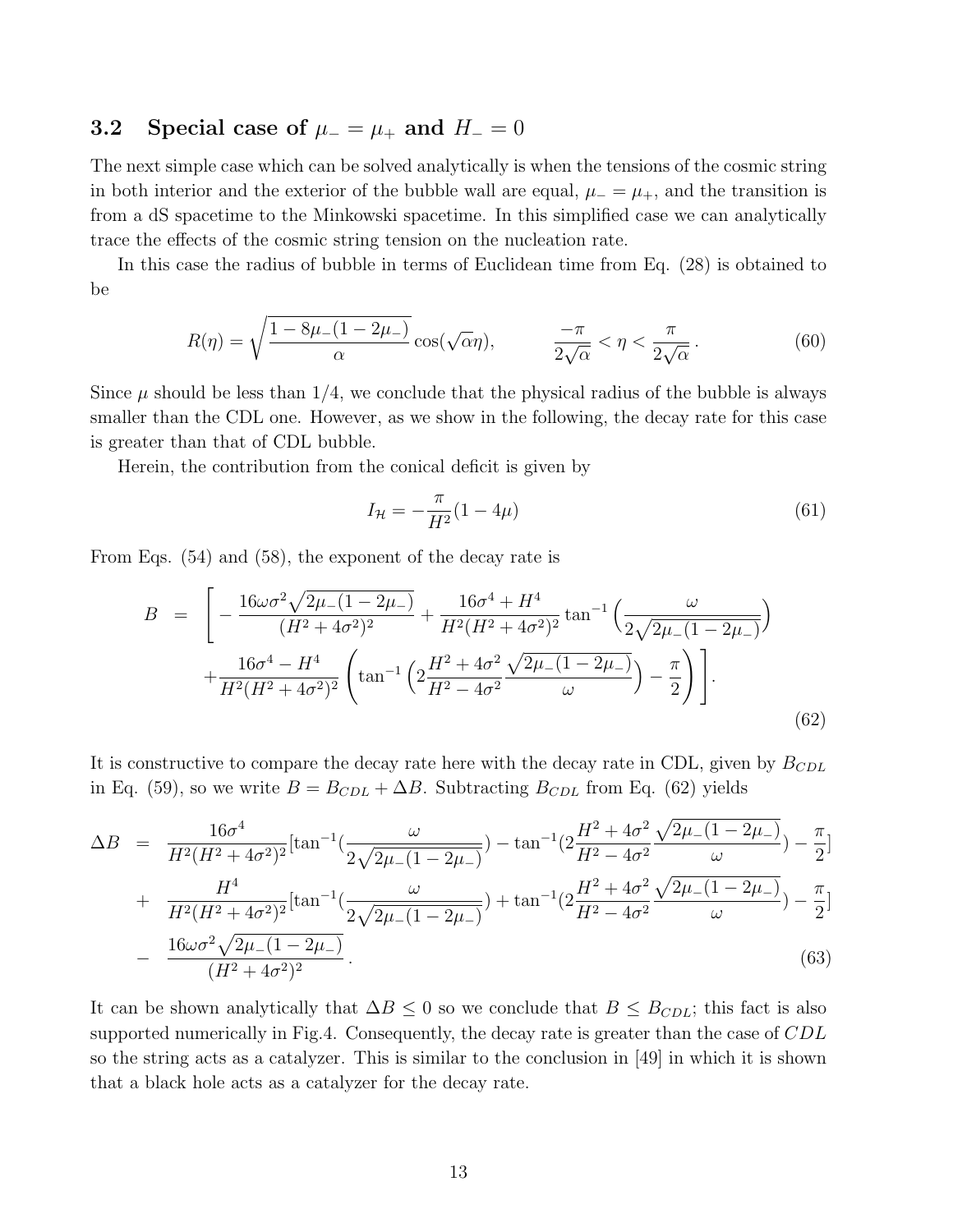### 3.2 Special case of  $\mu_-=\mu_+$  and  $H_-=0$

The next simple case which can be solved analytically is when the tensions of the cosmic string in both interior and the exterior of the bubble wall are equal,  $\mu = \mu_+$ , and the transition is from a dS spacetime to the Minkowski spacetime. In this simplified case we can analytically trace the effects of the cosmic string tension on the nucleation rate.

In this case the radius of bubble in terms of Euclidean time from Eq. (28) is obtained to be

$$
R(\eta) = \sqrt{\frac{1 - 8\mu_-(1 - 2\mu_-)}{\alpha}} \cos(\sqrt{\alpha}\eta), \qquad \frac{-\pi}{2\sqrt{\alpha}} < \eta < \frac{\pi}{2\sqrt{\alpha}}.
$$
 (60)

Since  $\mu$  should be less than 1/4, we conclude that the physical radius of the bubble is always smaller than the CDL one. However, as we show in the following, the decay rate for this case is greater than that of CDL bubble.

Herein, the contribution from the conical deficit is given by

$$
I_{\mathcal{H}} = -\frac{\pi}{H^2}(1 - 4\mu)
$$
\n(61)

From Eqs. (54) and (58), the exponent of the decay rate is

$$
B = \left[ -\frac{16\omega\sigma^{2}\sqrt{2\mu_{-}(1-2\mu_{-})}}{(H^{2}+4\sigma^{2})^{2}} + \frac{16\sigma^{4}+H^{4}}{H^{2}(H^{2}+4\sigma^{2})^{2}}\tan^{-1}\left(\frac{\omega}{2\sqrt{2\mu_{-}(1-2\mu_{-})}}\right) + \frac{16\sigma^{4}-H^{4}}{H^{2}(H^{2}+4\sigma^{2})^{2}}\left(\tan^{-1}\left(2\frac{H^{2}+4\sigma^{2}}{H^{2}-4\sigma^{2}}\frac{\sqrt{2\mu_{-}(1-2\mu_{-})}}{\omega}\right) - \frac{\pi}{2}\right)\right].
$$
\n(62)

It is constructive to compare the decay rate here with the decay rate in CDL, given by  $B_{CDL}$ in Eq. (59), so we write  $B = B_{CDL} + \Delta B$ . Subtracting  $B_{CDL}$  from Eq. (62) yields

$$
\Delta B = \frac{16\sigma^4}{H^2(H^2 + 4\sigma^2)^2} [\tan^{-1}(\frac{\omega}{2\sqrt{2\mu_-(1-2\mu_-)}}) - \tan^{-1}(2\frac{H^2 + 4\sigma^2}{H^2 - 4\sigma^2}\frac{\sqrt{2\mu_-(1-2\mu_-)}}{\omega}) - \frac{\pi}{2}]
$$

$$
+\frac{H^4}{H^2(H^2+4\sigma^2)^2}[\tan^{-1}(\frac{\omega}{2\sqrt{2\mu_-(1-2\mu_-)}})+\tan^{-1}(2\frac{H^2+4\sigma^2}{H^2-4\sigma^2}\frac{\sqrt{2\mu_-(1-2\mu_-)}}{\omega})-\frac{\pi}{2}]
$$
  
 
$$
-\frac{16\omega\sigma^2\sqrt{2\mu_-(1-2\mu_-)}}{(H^2+4\sigma^2)^2}.
$$
 (63)

It can be shown analytically that  $\Delta B \leq 0$  so we conclude that  $B \leq B_{CDL}$ ; this fact is also supported numerically in Fig.4. Consequently, the decay rate is greater than the case of CDL so the string acts as a catalyzer. This is similar to the conclusion in [49] in which it is shown that a black hole acts as a catalyzer for the decay rate.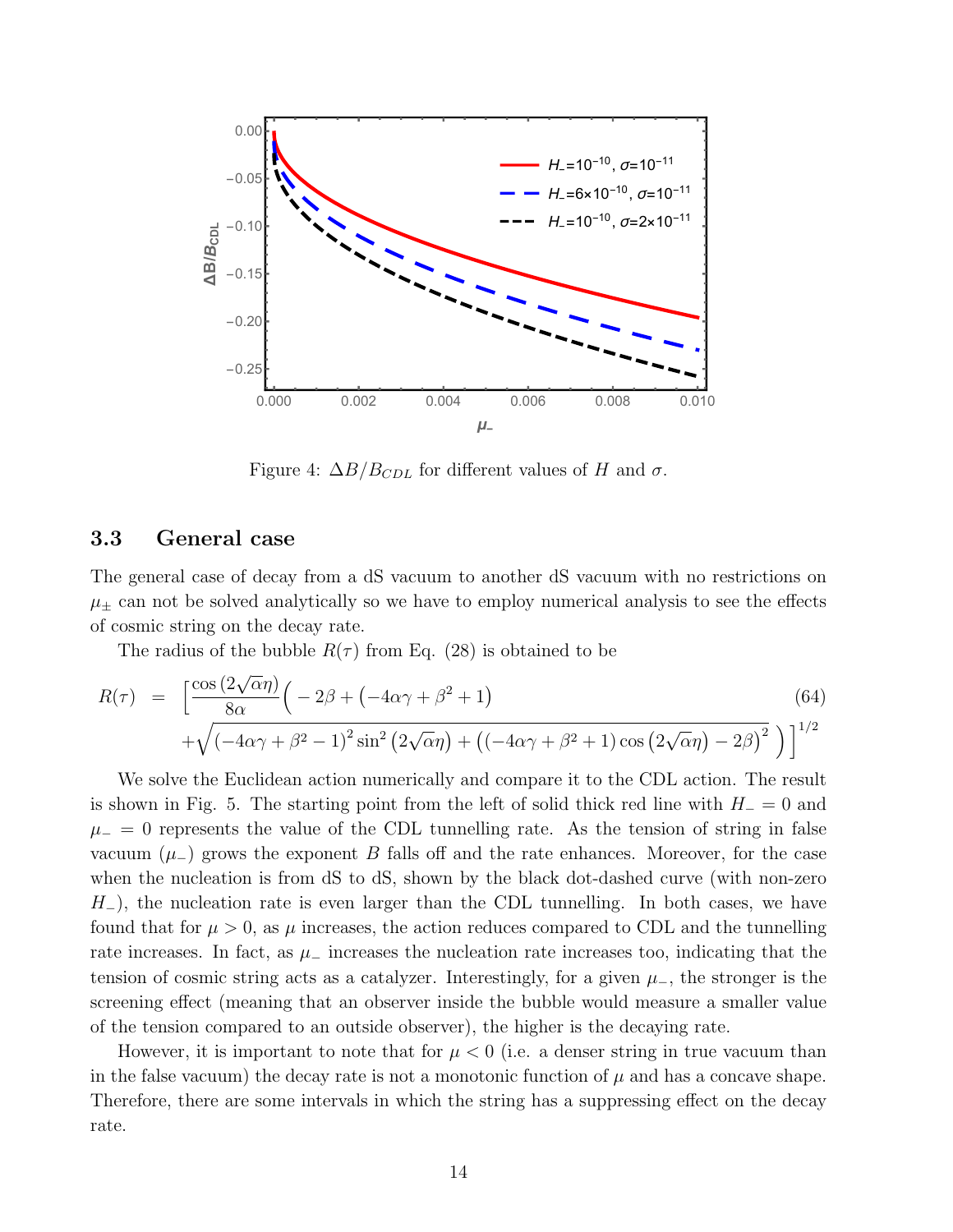

Figure 4:  $\Delta B/B_{CDL}$  for different values of H and  $\sigma$ .

#### 3.3 General case

The general case of decay from a dS vacuum to another dS vacuum with no restrictions on  $\mu_{\pm}$  can not be solved analytically so we have to employ numerical analysis to see the effects of cosmic string on the decay rate.

The radius of the bubble  $R(\tau)$  from Eq. (28) is obtained to be

$$
R(\tau) = \left[ \frac{\cos(2\sqrt{\alpha}\eta)}{8\alpha} \left( -2\beta + (-4\alpha\gamma + \beta^2 + 1) \right) + \sqrt{(-4\alpha\gamma + \beta^2 - 1)^2 \sin^2(2\sqrt{\alpha}\eta) + ((-4\alpha\gamma + \beta^2 + 1)\cos(2\sqrt{\alpha}\eta) - 2\beta)^2} \right) \right]^{1/2}
$$
\n(64)

We solve the Euclidean action numerically and compare it to the CDL action. The result is shown in Fig. 5. The starting point from the left of solid thick red line with  $H_-=0$  and  $\mu_$  = 0 represents the value of the CDL tunnelling rate. As the tension of string in false vacuum  $(\mu)$  grows the exponent B falls off and the rate enhances. Moreover, for the case when the nucleation is from dS to dS, shown by the black dot-dashed curve (with non-zero  $H_$ ), the nucleation rate is even larger than the CDL tunnelling. In both cases, we have found that for  $\mu > 0$ , as  $\mu$  increases, the action reduces compared to CDL and the tunnelling rate increases. In fact, as  $\mu$ <sub>−</sub> increases the nucleation rate increases too, indicating that the tension of cosmic string acts as a catalyzer. Interestingly, for a given  $\mu$ <sub>−</sub>, the stronger is the screening effect (meaning that an observer inside the bubble would measure a smaller value of the tension compared to an outside observer), the higher is the decaying rate.

However, it is important to note that for  $\mu < 0$  (i.e. a denser string in true vacuum than in the false vacuum) the decay rate is not a monotonic function of  $\mu$  and has a concave shape. Therefore, there are some intervals in which the string has a suppressing effect on the decay rate.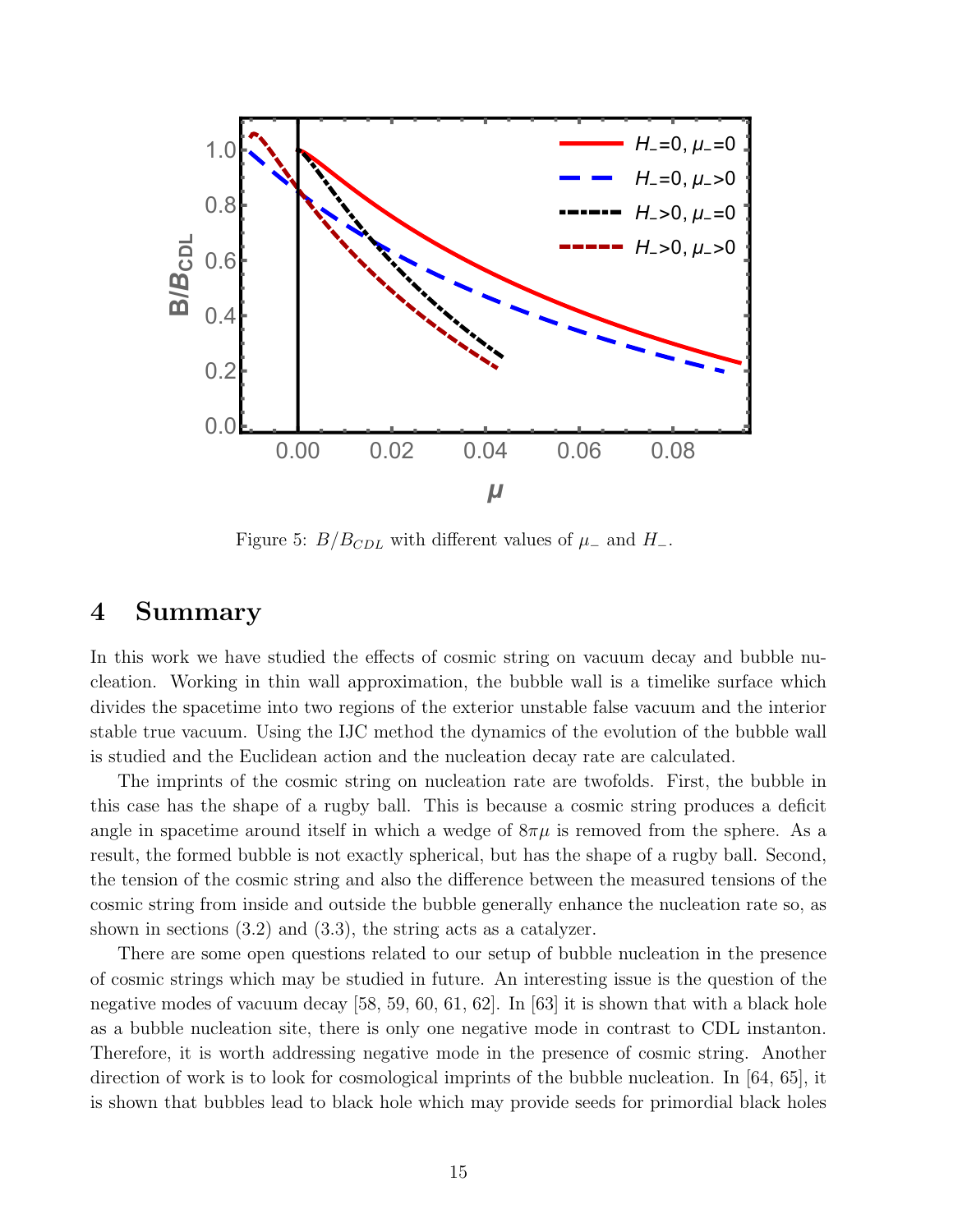

Figure 5:  $B/B_{CDL}$  with different values of  $\mu$ <sub>-</sub> and  $H$ <sub>-</sub>.

# 4 Summary

In this work we have studied the effects of cosmic string on vacuum decay and bubble nucleation. Working in thin wall approximation, the bubble wall is a timelike surface which divides the spacetime into two regions of the exterior unstable false vacuum and the interior stable true vacuum. Using the IJC method the dynamics of the evolution of the bubble wall is studied and the Euclidean action and the nucleation decay rate are calculated.

The imprints of the cosmic string on nucleation rate are twofolds. First, the bubble in this case has the shape of a rugby ball. This is because a cosmic string produces a deficit angle in spacetime around itself in which a wedge of  $8\pi\mu$  is removed from the sphere. As a result, the formed bubble is not exactly spherical, but has the shape of a rugby ball. Second, the tension of the cosmic string and also the difference between the measured tensions of the cosmic string from inside and outside the bubble generally enhance the nucleation rate so, as shown in sections (3.2) and (3.3), the string acts as a catalyzer.

There are some open questions related to our setup of bubble nucleation in the presence of cosmic strings which may be studied in future. An interesting issue is the question of the negative modes of vacuum decay [58, 59, 60, 61, 62]. In [63] it is shown that with a black hole as a bubble nucleation site, there is only one negative mode in contrast to CDL instanton. Therefore, it is worth addressing negative mode in the presence of cosmic string. Another direction of work is to look for cosmological imprints of the bubble nucleation. In [64, 65], it is shown that bubbles lead to black hole which may provide seeds for primordial black holes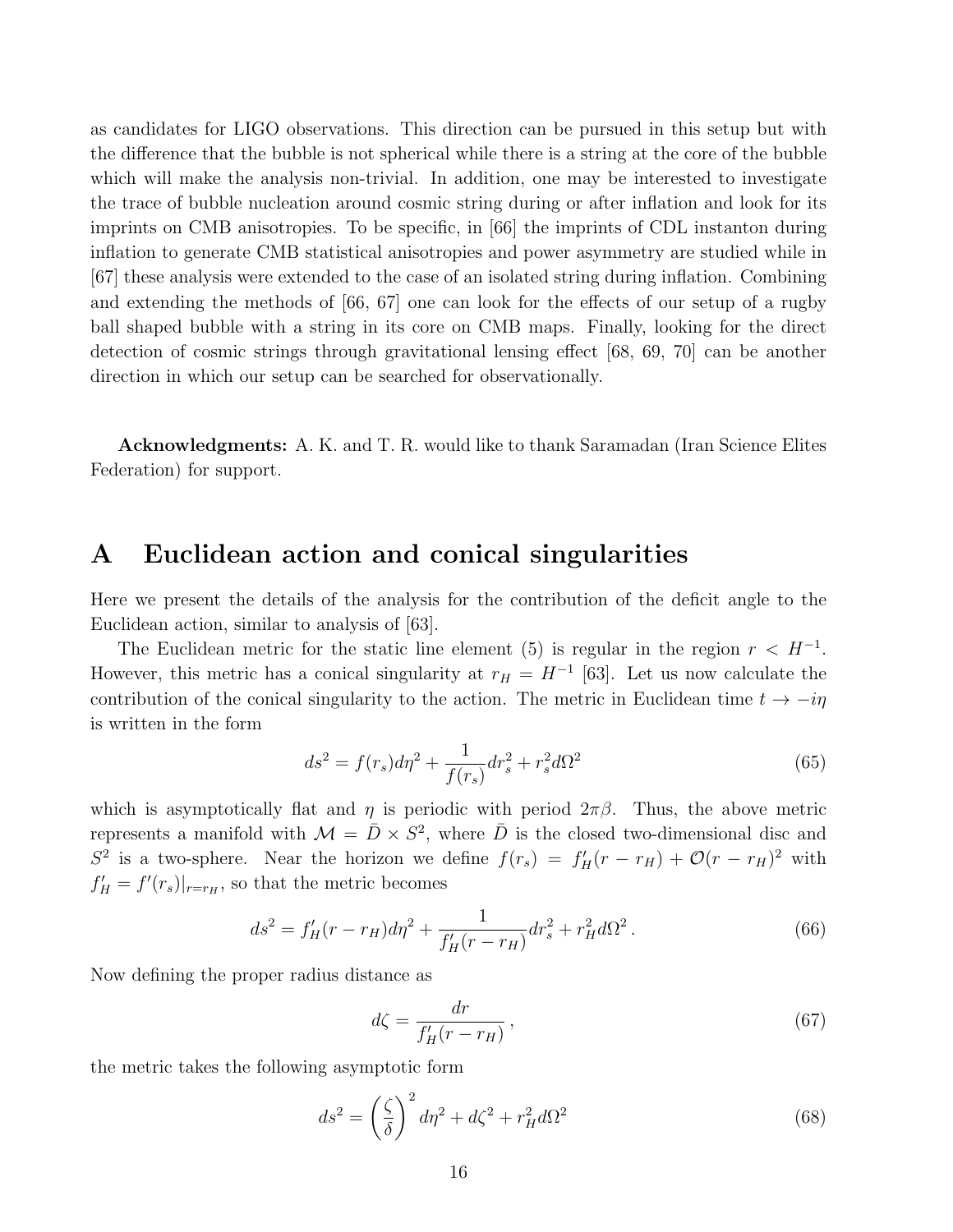as candidates for LIGO observations. This direction can be pursued in this setup but with the difference that the bubble is not spherical while there is a string at the core of the bubble which will make the analysis non-trivial. In addition, one may be interested to investigate the trace of bubble nucleation around cosmic string during or after inflation and look for its imprints on CMB anisotropies. To be specific, in [66] the imprints of CDL instanton during inflation to generate CMB statistical anisotropies and power asymmetry are studied while in [67] these analysis were extended to the case of an isolated string during inflation. Combining and extending the methods of [66, 67] one can look for the effects of our setup of a rugby ball shaped bubble with a string in its core on CMB maps. Finally, looking for the direct detection of cosmic strings through gravitational lensing effect [68, 69, 70] can be another direction in which our setup can be searched for observationally.

Acknowledgments: A. K. and T. R. would like to thank Saramadan (Iran Science Elites Federation) for support.

## A Euclidean action and conical singularities

Here we present the details of the analysis for the contribution of the deficit angle to the Euclidean action, similar to analysis of [63].

The Euclidean metric for the static line element (5) is regular in the region  $r < H^{-1}$ . However, this metric has a conical singularity at  $r_H = H^{-1}$  [63]. Let us now calculate the contribution of the conical singularity to the action. The metric in Euclidean time  $t \to -i\eta$ is written in the form

$$
ds^{2} = f(r_{s})d\eta^{2} + \frac{1}{f(r_{s})}dr_{s}^{2} + r_{s}^{2}d\Omega^{2}
$$
\n(65)

which is asymptotically flat and  $\eta$  is periodic with period  $2\pi\beta$ . Thus, the above metric represents a manifold with  $\mathcal{M} = \bar{D} \times S^2$ , where  $\bar{D}$  is the closed two-dimensional disc and  $S^2$  is a two-sphere. Near the horizon we define  $f(r_s) = f'_H(r - r_H) + \mathcal{O}(r - r_H)^2$  with  $f'_{H} = f'(r_s)|_{r=r_H}$ , so that the metric becomes

$$
ds^{2} = f'_{H}(r - r_{H})d\eta^{2} + \frac{1}{f'_{H}(r - r_{H})}dr_{s}^{2} + r_{H}^{2}d\Omega^{2}.
$$
 (66)

Now defining the proper radius distance as

$$
d\zeta = \frac{dr}{f_H'(r - r_H)},\tag{67}
$$

the metric takes the following asymptotic form

$$
ds^2 = \left(\frac{\zeta}{\delta}\right)^2 d\eta^2 + d\zeta^2 + r_H^2 d\Omega^2
$$
\n(68)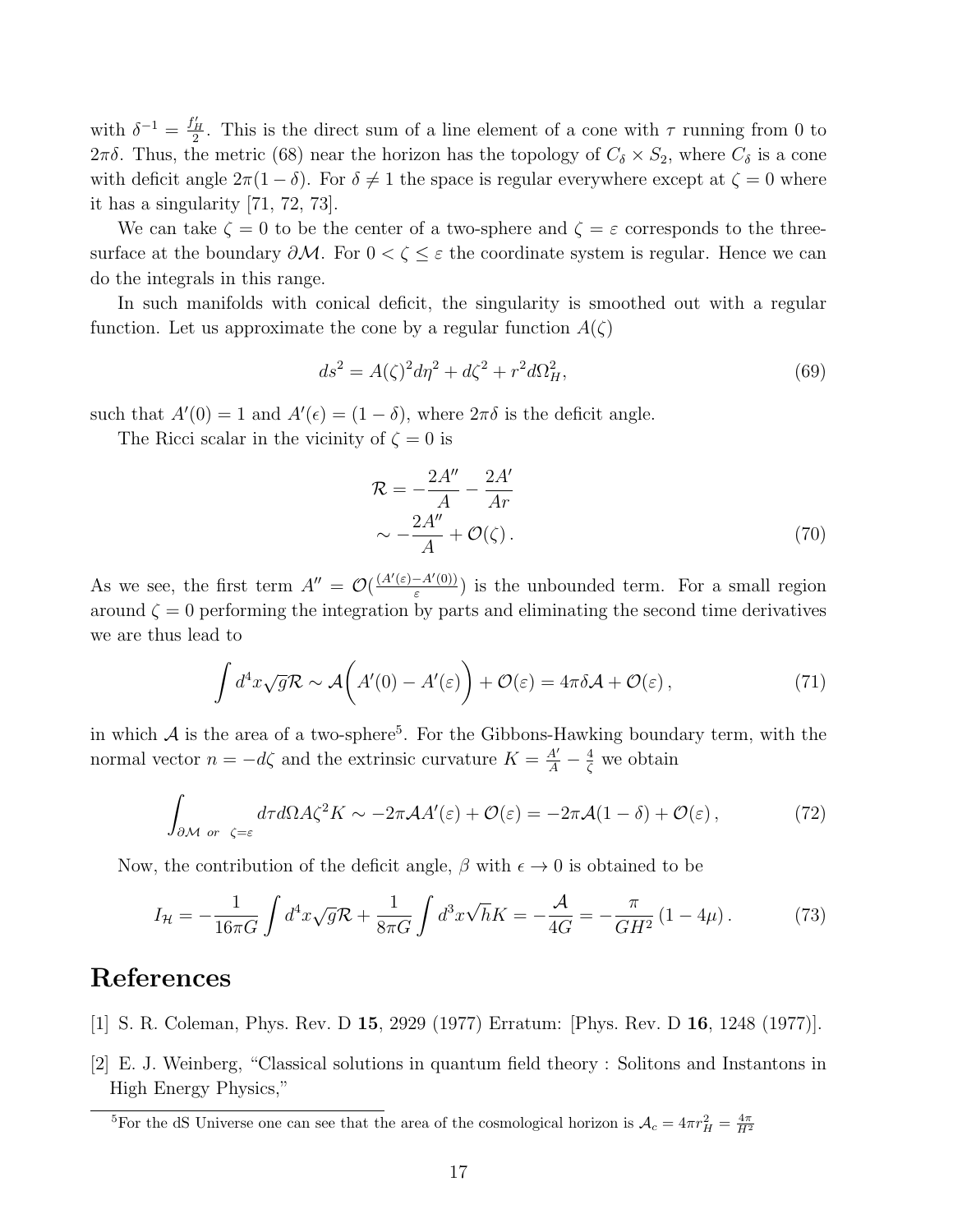with  $\delta^{-1} = \frac{f'_H}{2}$ . This is the direct sum of a line element of a cone with  $\tau$  running from 0 to 2πδ. Thus, the metric (68) near the horizon has the topology of  $C_\delta \times S_2$ , where  $C_\delta$  is a cone with deficit angle  $2\pi(1-\delta)$ . For  $\delta \neq 1$  the space is regular everywhere except at  $\zeta = 0$  where it has a singularity [71, 72, 73].

We can take  $\zeta = 0$  to be the center of a two-sphere and  $\zeta = \varepsilon$  corresponds to the threesurface at the boundary  $\partial M$ . For  $0 < \zeta \leq \varepsilon$  the coordinate system is regular. Hence we can do the integrals in this range.

In such manifolds with conical deficit, the singularity is smoothed out with a regular function. Let us approximate the cone by a regular function  $A(\zeta)$ 

$$
ds^{2} = A(\zeta)^{2} d\eta^{2} + d\zeta^{2} + r^{2} d\Omega_{H}^{2},
$$
\n(69)

such that  $A'(0) = 1$  and  $A'(\epsilon) = (1 - \delta)$ , where  $2\pi\delta$  is the deficit angle.

The Ricci scalar in the vicinity of  $\zeta = 0$  is

$$
\mathcal{R} = -\frac{2A''}{A} - \frac{2A'}{Ar}
$$

$$
\sim -\frac{2A''}{A} + \mathcal{O}(\zeta).
$$
(70)

As we see, the first term  $A'' = \mathcal{O}(\frac{(A'(\varepsilon) - A'(0))}{\varepsilon})$  $\frac{-A'(0)}{\varepsilon}$  is the unbounded term. For a small region around  $\zeta = 0$  performing the integration by parts and eliminating the second time derivatives we are thus lead to

$$
\int d^4x \sqrt{g} \mathcal{R} \sim \mathcal{A}\left(A'(0) - A'(\varepsilon)\right) + \mathcal{O}(\varepsilon) = 4\pi \delta \mathcal{A} + \mathcal{O}(\varepsilon),\tag{71}
$$

in which  $A$  is the area of a two-sphere<sup>5</sup>. For the Gibbons-Hawking boundary term, with the normal vector  $n = -d\zeta$  and the extrinsic curvature  $K = \frac{A'}{A} - \frac{4}{\zeta}$  we obtain

$$
\int_{\partial \mathcal{M} \text{ or } \zeta = \varepsilon} d\tau d\Omega A \zeta^2 K \sim -2\pi \mathcal{A} A'(\varepsilon) + \mathcal{O}(\varepsilon) = -2\pi \mathcal{A} (1 - \delta) + \mathcal{O}(\varepsilon) ,\tag{72}
$$

Now, the contribution of the deficit angle,  $\beta$  with  $\epsilon \to 0$  is obtained to be

$$
I_{\mathcal{H}} = -\frac{1}{16\pi G} \int d^4x \sqrt{g} \mathcal{R} + \frac{1}{8\pi G} \int d^3x \sqrt{h} K = -\frac{\mathcal{A}}{4G} = -\frac{\pi}{GH^2} (1 - 4\mu). \tag{73}
$$

# References

- [1] S. R. Coleman, Phys. Rev. D 15, 2929 (1977) Erratum: [Phys. Rev. D 16, 1248 (1977)].
- [2] E. J. Weinberg, "Classical solutions in quantum field theory : Solitons and Instantons in High Energy Physics,"

<sup>&</sup>lt;sup>5</sup>For the dS Universe one can see that the area of the cosmological horizon is  $\mathcal{A}_c = 4\pi r_H^2 = \frac{4\pi}{H^2}$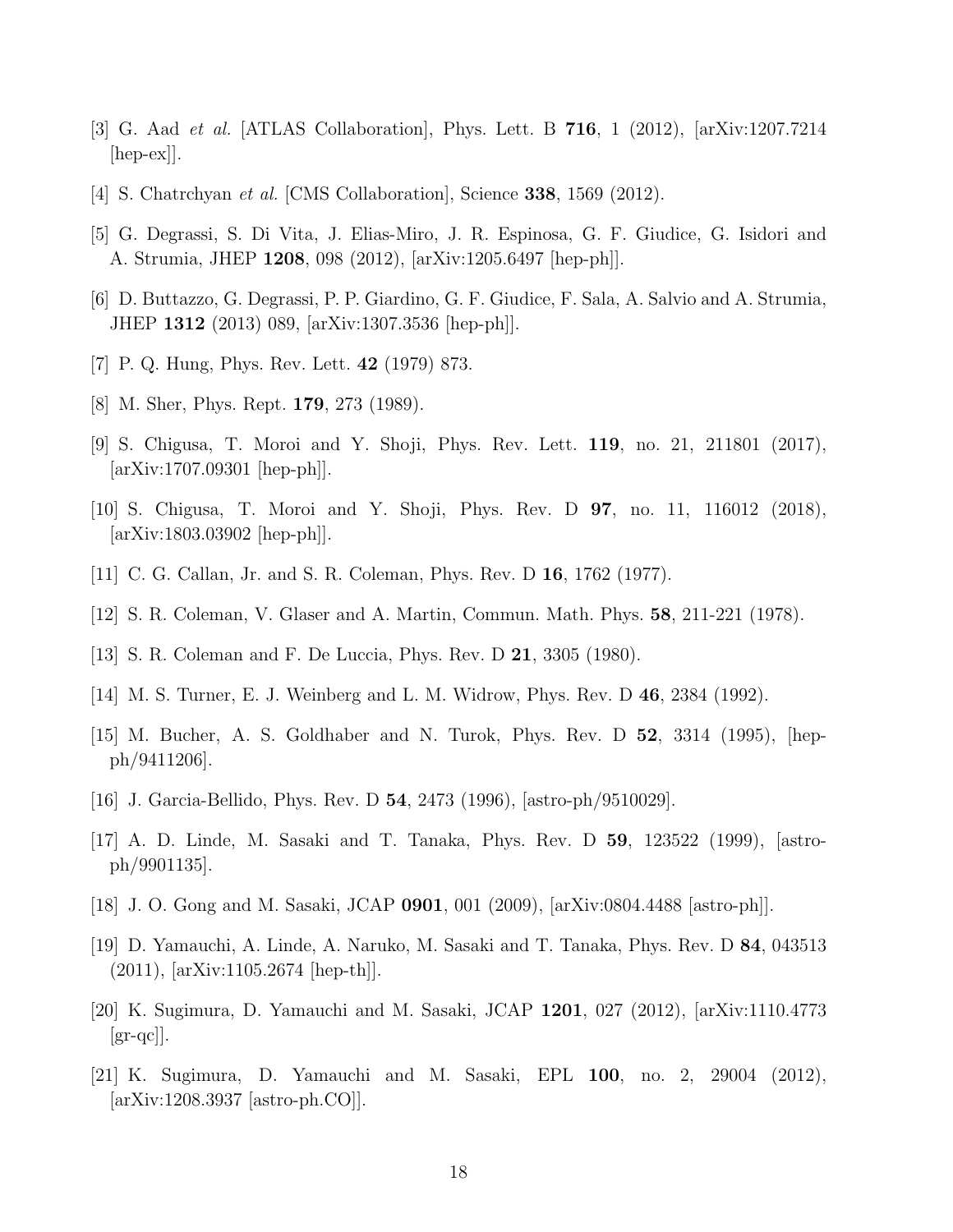- [3] G. Aad et al. [ATLAS Collaboration], Phys. Lett. B 716, 1 (2012), [arXiv:1207.7214  $\vert$ hep-ex $\vert$ .
- [4] S. Chatrchyan et al. [CMS Collaboration], Science 338, 1569 (2012).
- [5] G. Degrassi, S. Di Vita, J. Elias-Miro, J. R. Espinosa, G. F. Giudice, G. Isidori and A. Strumia, JHEP 1208, 098 (2012), [arXiv:1205.6497 [hep-ph]].
- [6] D. Buttazzo, G. Degrassi, P. P. Giardino, G. F. Giudice, F. Sala, A. Salvio and A. Strumia, JHEP 1312 (2013) 089, [arXiv:1307.3536 [hep-ph]].
- [7] P. Q. Hung, Phys. Rev. Lett. 42 (1979) 873.
- [8] M. Sher, Phys. Rept. 179, 273 (1989).
- [9] S. Chigusa, T. Moroi and Y. Shoji, Phys. Rev. Lett. 119, no. 21, 211801 (2017), [arXiv:1707.09301 [hep-ph]].
- [10] S. Chigusa, T. Moroi and Y. Shoji, Phys. Rev. D 97, no. 11, 116012 (2018), [arXiv:1803.03902 [hep-ph]].
- [11] C. G. Callan, Jr. and S. R. Coleman, Phys. Rev. D 16, 1762 (1977).
- [12] S. R. Coleman, V. Glaser and A. Martin, Commun. Math. Phys. 58, 211-221 (1978).
- [13] S. R. Coleman and F. De Luccia, Phys. Rev. D 21, 3305 (1980).
- [14] M. S. Turner, E. J. Weinberg and L. M. Widrow, Phys. Rev. D 46, 2384 (1992).
- [15] M. Bucher, A. S. Goldhaber and N. Turok, Phys. Rev. D 52, 3314 (1995), [hepph/9411206].
- [16] J. Garcia-Bellido, Phys. Rev. D 54, 2473 (1996), [astro-ph/9510029].
- [17] A. D. Linde, M. Sasaki and T. Tanaka, Phys. Rev. D 59, 123522 (1999), [astroph/9901135].
- [18] J. O. Gong and M. Sasaki, JCAP 0901, 001 (2009), [arXiv:0804.4488 [astro-ph]].
- [19] D. Yamauchi, A. Linde, A. Naruko, M. Sasaki and T. Tanaka, Phys. Rev. D 84, 043513 (2011), [arXiv:1105.2674 [hep-th]].
- [20] K. Sugimura, D. Yamauchi and M. Sasaki, JCAP 1201, 027 (2012), [arXiv:1110.4773  $\left[\text{gr-qc}\right]$ .
- [21] K. Sugimura, D. Yamauchi and M. Sasaki, EPL 100, no. 2, 29004 (2012), [arXiv:1208.3937 [astro-ph.CO]].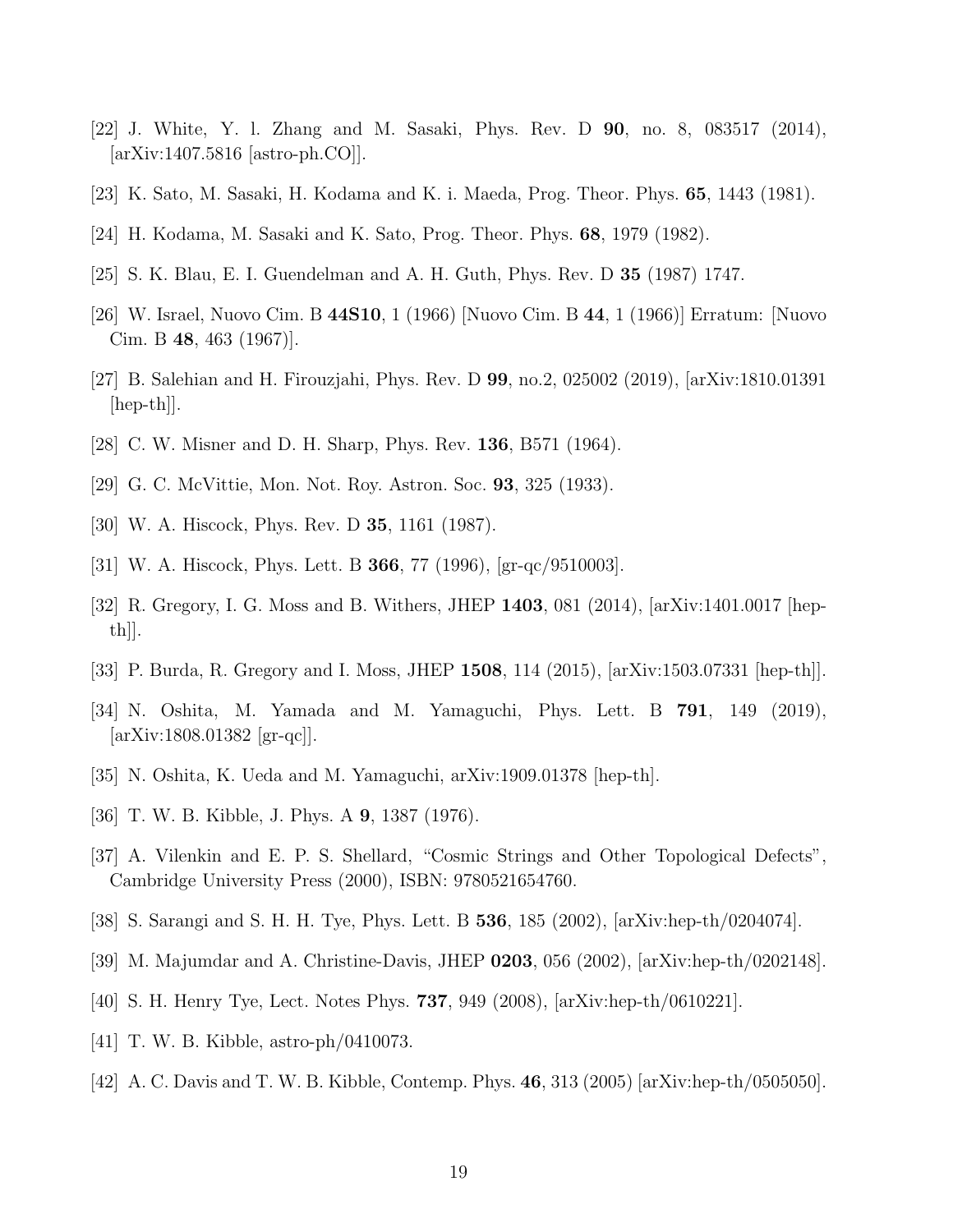- [22] J. White, Y. l. Zhang and M. Sasaki, Phys. Rev. D 90, no. 8, 083517 (2014), [arXiv:1407.5816 [astro-ph.CO]].
- [23] K. Sato, M. Sasaki, H. Kodama and K. i. Maeda, Prog. Theor. Phys. 65, 1443 (1981).
- [24] H. Kodama, M. Sasaki and K. Sato, Prog. Theor. Phys. 68, 1979 (1982).
- [25] S. K. Blau, E. I. Guendelman and A. H. Guth, Phys. Rev. D 35 (1987) 1747.
- [26] W. Israel, Nuovo Cim. B 44S10, 1 (1966) [Nuovo Cim. B 44, 1 (1966)] Erratum: [Nuovo Cim. B 48, 463 (1967)].
- [27] B. Salehian and H. Firouzjahi, Phys. Rev. D 99, no.2, 025002 (2019), [arXiv:1810.01391  $\vert \text{hep-th} \vert$ .
- [28] C. W. Misner and D. H. Sharp, Phys. Rev. 136, B571 (1964).
- [29] G. C. McVittie, Mon. Not. Roy. Astron. Soc. 93, 325 (1933).
- [30] W. A. Hiscock, Phys. Rev. D 35, 1161 (1987).
- [31] W. A. Hiscock, Phys. Lett. B 366, 77 (1996), [gr-qc/9510003].
- [32] R. Gregory, I. G. Moss and B. Withers, JHEP 1403, 081 (2014), [arXiv:1401.0017 [hep $th$ ].
- [33] P. Burda, R. Gregory and I. Moss, JHEP 1508, 114 (2015), [arXiv:1503.07331 [hep-th]].
- [34] N. Oshita, M. Yamada and M. Yamaguchi, Phys. Lett. B 791, 149 (2019), [arXiv:1808.01382 [gr-qc]].
- $[35]$  N. Oshita, K. Ueda and M. Yamaguchi, arXiv:1909.01378 [hep-th].
- [36] T. W. B. Kibble, J. Phys. A 9, 1387 (1976).
- [37] A. Vilenkin and E. P. S. Shellard, "Cosmic Strings and Other Topological Defects", Cambridge University Press (2000), ISBN: 9780521654760.
- [38] S. Sarangi and S. H. H. Tye, Phys. Lett. B 536, 185 (2002), [arXiv:hep-th/0204074].
- [39] M. Majumdar and A. Christine-Davis, JHEP 0203, 056 (2002), [arXiv:hep-th/0202148].
- [40] S. H. Henry Tye, Lect. Notes Phys. 737, 949 (2008), [arXiv:hep-th/0610221].
- [41] T. W. B. Kibble, astro-ph/0410073.
- [42] A. C. Davis and T. W. B. Kibble, Contemp. Phys. 46, 313 (2005) [arXiv:hep-th/0505050].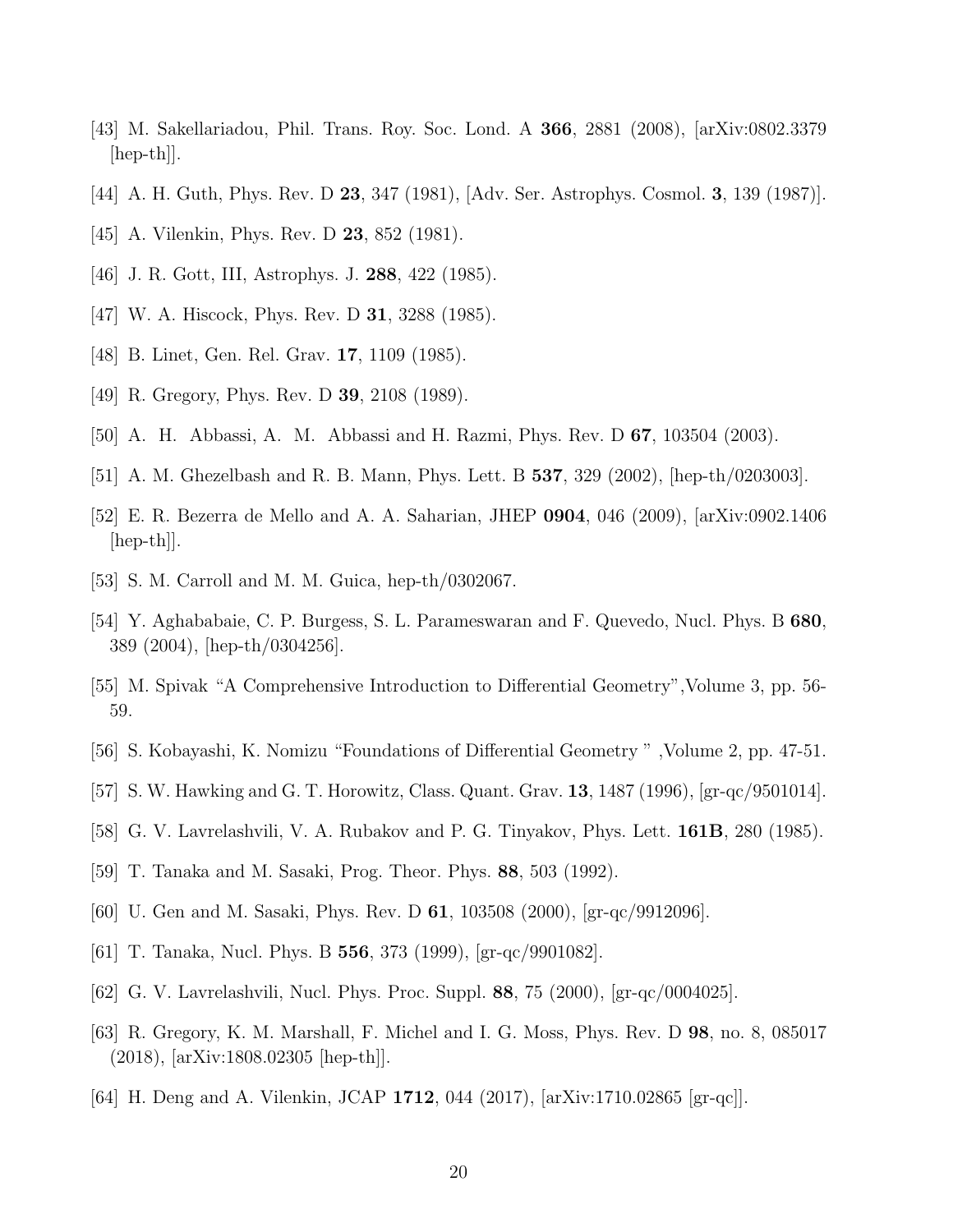- [43] M. Sakellariadou, Phil. Trans. Roy. Soc. Lond. A 366, 2881 (2008), [arXiv:0802.3379  $\vert \text{hep-th} \vert$ .
- [44] A. H. Guth, Phys. Rev. D 23, 347 (1981), [Adv. Ser. Astrophys. Cosmol. 3, 139 (1987)].
- [45] A. Vilenkin, Phys. Rev. D **23**, 852 (1981).
- [46] J. R. Gott, III, Astrophys. J. 288, 422 (1985).
- [47] W. A. Hiscock, Phys. Rev. D **31**, 3288 (1985).
- [48] B. Linet, Gen. Rel. Grav. **17**, 1109 (1985).
- [49] R. Gregory, Phys. Rev. D 39, 2108 (1989).
- [50] A. H. Abbassi, A. M. Abbassi and H. Razmi, Phys. Rev. D 67, 103504 (2003).
- [51] A. M. Ghezelbash and R. B. Mann, Phys. Lett. B 537, 329 (2002), [hep-th/0203003].
- [52] E. R. Bezerra de Mello and A. A. Saharian, JHEP 0904, 046 (2009), [arXiv:0902.1406 [hep-th]].
- [53] S. M. Carroll and M. M. Guica, hep-th/0302067.
- [54] Y. Aghababaie, C. P. Burgess, S. L. Parameswaran and F. Quevedo, Nucl. Phys. B 680, 389 (2004), [hep-th/0304256].
- [55] M. Spivak "A Comprehensive Introduction to Differential Geometry",Volume 3, pp. 56- 59.
- [56] S. Kobayashi, K. Nomizu "Foundations of Differential Geometry " ,Volume 2, pp. 47-51.
- [57] S. W. Hawking and G. T. Horowitz, Class. Quant. Grav. 13, 1487 (1996), [gr-qc/9501014].
- [58] G. V. Lavrelashvili, V. A. Rubakov and P. G. Tinyakov, Phys. Lett. 161B, 280 (1985).
- [59] T. Tanaka and M. Sasaki, Prog. Theor. Phys. 88, 503 (1992).
- [60] U. Gen and M. Sasaki, Phys. Rev. D 61, 103508 (2000), [gr-qc/9912096].
- [61] T. Tanaka, Nucl. Phys. B 556, 373 (1999), [gr-qc/9901082].
- [62] G. V. Lavrelashvili, Nucl. Phys. Proc. Suppl. 88, 75 (2000), [gr-qc/0004025].
- [63] R. Gregory, K. M. Marshall, F. Michel and I. G. Moss, Phys. Rev. D 98, no. 8, 085017 (2018), [arXiv:1808.02305 [hep-th]].
- [64] H. Deng and A. Vilenkin, JCAP 1712, 044 (2017), [arXiv:1710.02865 [gr-qc]].